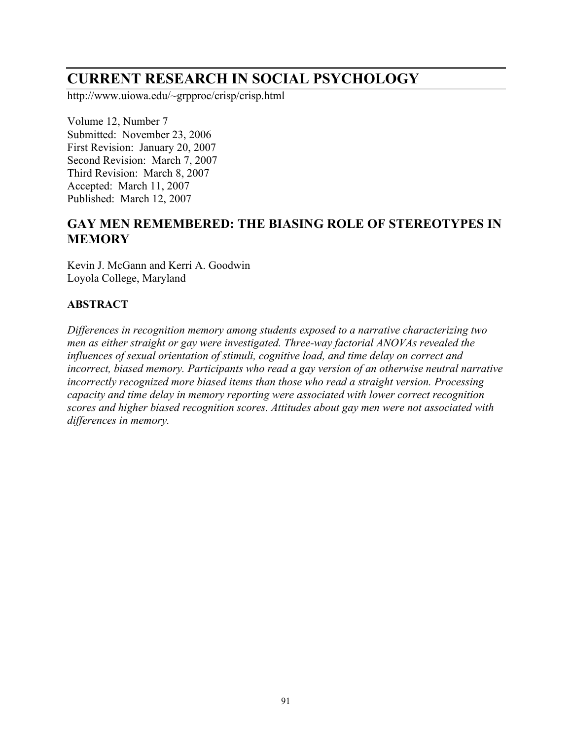# **CURRENT RESEARCH IN SOCIAL PSYCHOLOGY**

http://www.uiowa.edu/~grpproc/crisp/crisp.html

Volume 12, Number 7 Submitted: November 23, 2006 First Revision: January 20, 2007 Second Revision: March 7, 2007 Third Revision: March 8, 2007 Accepted: March 11, 2007 Published: March 12, 2007

# **GAY MEN REMEMBERED: THE BIASING ROLE OF STEREOTYPES IN MEMORY**

Kevin J. McGann and Kerri A. Goodwin Loyola College, Maryland

## **ABSTRACT**

*Differences in recognition memory among students exposed to a narrative characterizing two men as either straight or gay were investigated. Three-way factorial ANOVAs revealed the influences of sexual orientation of stimuli, cognitive load, and time delay on correct and incorrect, biased memory. Participants who read a gay version of an otherwise neutral narrative incorrectly recognized more biased items than those who read a straight version. Processing capacity and time delay in memory reporting were associated with lower correct recognition scores and higher biased recognition scores. Attitudes about gay men were not associated with differences in memory.*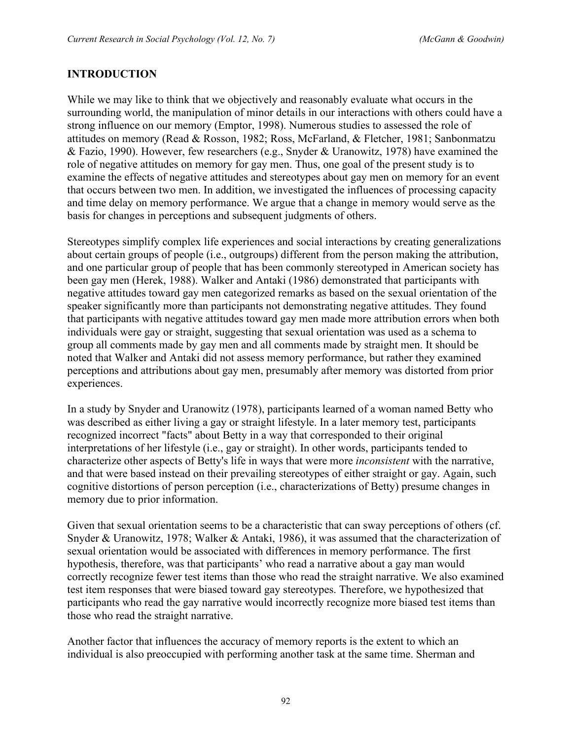# **INTRODUCTION**

While we may like to think that we objectively and reasonably evaluate what occurs in the surrounding world, the manipulation of minor details in our interactions with others could have a strong influence on our memory (Emptor, 1998). Numerous studies to assessed the role of attitudes on memory (Read & Rosson, 1982; Ross, McFarland, & Fletcher, 1981; Sanbonmatzu & Fazio, 1990). However, few researchers (e.g., Snyder & Uranowitz, 1978) have examined the role of negative attitudes on memory for gay men. Thus, one goal of the present study is to examine the effects of negative attitudes and stereotypes about gay men on memory for an event that occurs between two men. In addition, we investigated the influences of processing capacity and time delay on memory performance. We argue that a change in memory would serve as the basis for changes in perceptions and subsequent judgments of others.

Stereotypes simplify complex life experiences and social interactions by creating generalizations about certain groups of people (i.e., outgroups) different from the person making the attribution, and one particular group of people that has been commonly stereotyped in American society has been gay men (Herek, 1988). Walker and Antaki (1986) demonstrated that participants with negative attitudes toward gay men categorized remarks as based on the sexual orientation of the speaker significantly more than participants not demonstrating negative attitudes. They found that participants with negative attitudes toward gay men made more attribution errors when both individuals were gay or straight, suggesting that sexual orientation was used as a schema to group all comments made by gay men and all comments made by straight men. It should be noted that Walker and Antaki did not assess memory performance, but rather they examined perceptions and attributions about gay men, presumably after memory was distorted from prior experiences.

In a study by Snyder and Uranowitz (1978), participants learned of a woman named Betty who was described as either living a gay or straight lifestyle. In a later memory test, participants recognized incorrect "facts" about Betty in a way that corresponded to their original interpretations of her lifestyle (i.e., gay or straight). In other words, participants tended to characterize other aspects of Betty's life in ways that were more *inconsistent* with the narrative, and that were based instead on their prevailing stereotypes of either straight or gay. Again, such cognitive distortions of person perception (i.e., characterizations of Betty) presume changes in memory due to prior information.

Given that sexual orientation seems to be a characteristic that can sway perceptions of others (cf. Snyder & Uranowitz, 1978; Walker & Antaki, 1986), it was assumed that the characterization of sexual orientation would be associated with differences in memory performance. The first hypothesis, therefore, was that participants' who read a narrative about a gay man would correctly recognize fewer test items than those who read the straight narrative. We also examined test item responses that were biased toward gay stereotypes. Therefore, we hypothesized that participants who read the gay narrative would incorrectly recognize more biased test items than those who read the straight narrative.

Another factor that influences the accuracy of memory reports is the extent to which an individual is also preoccupied with performing another task at the same time. Sherman and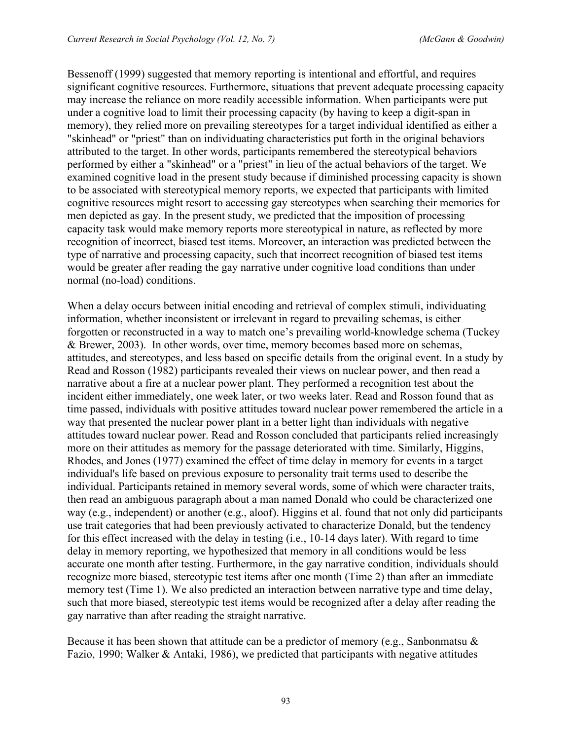Bessenoff (1999) suggested that memory reporting is intentional and effortful, and requires significant cognitive resources. Furthermore, situations that prevent adequate processing capacity may increase the reliance on more readily accessible information. When participants were put under a cognitive load to limit their processing capacity (by having to keep a digit-span in memory), they relied more on prevailing stereotypes for a target individual identified as either a "skinhead" or "priest" than on individuating characteristics put forth in the original behaviors attributed to the target. In other words, participants remembered the stereotypical behaviors performed by either a "skinhead" or a "priest" in lieu of the actual behaviors of the target. We examined cognitive load in the present study because if diminished processing capacity is shown to be associated with stereotypical memory reports, we expected that participants with limited cognitive resources might resort to accessing gay stereotypes when searching their memories for men depicted as gay. In the present study, we predicted that the imposition of processing capacity task would make memory reports more stereotypical in nature, as reflected by more recognition of incorrect, biased test items. Moreover, an interaction was predicted between the type of narrative and processing capacity, such that incorrect recognition of biased test items would be greater after reading the gay narrative under cognitive load conditions than under normal (no-load) conditions.

When a delay occurs between initial encoding and retrieval of complex stimuli, individuating information, whether inconsistent or irrelevant in regard to prevailing schemas, is either forgotten or reconstructed in a way to match one's prevailing world-knowledge schema (Tuckey & Brewer, 2003). In other words, over time, memory becomes based more on schemas, attitudes, and stereotypes, and less based on specific details from the original event. In a study by Read and Rosson (1982) participants revealed their views on nuclear power, and then read a narrative about a fire at a nuclear power plant. They performed a recognition test about the incident either immediately, one week later, or two weeks later. Read and Rosson found that as time passed, individuals with positive attitudes toward nuclear power remembered the article in a way that presented the nuclear power plant in a better light than individuals with negative attitudes toward nuclear power. Read and Rosson concluded that participants relied increasingly more on their attitudes as memory for the passage deteriorated with time. Similarly, Higgins, Rhodes, and Jones (1977) examined the effect of time delay in memory for events in a target individual's life based on previous exposure to personality trait terms used to describe the individual. Participants retained in memory several words, some of which were character traits, then read an ambiguous paragraph about a man named Donald who could be characterized one way (e.g., independent) or another (e.g., aloof). Higgins et al. found that not only did participants use trait categories that had been previously activated to characterize Donald, but the tendency for this effect increased with the delay in testing (i.e., 10-14 days later). With regard to time delay in memory reporting, we hypothesized that memory in all conditions would be less accurate one month after testing. Furthermore, in the gay narrative condition, individuals should recognize more biased, stereotypic test items after one month (Time 2) than after an immediate memory test (Time 1). We also predicted an interaction between narrative type and time delay, such that more biased, stereotypic test items would be recognized after a delay after reading the gay narrative than after reading the straight narrative.

Because it has been shown that attitude can be a predictor of memory (e.g., Sanbonmatsu  $\&$ Fazio, 1990; Walker & Antaki, 1986), we predicted that participants with negative attitudes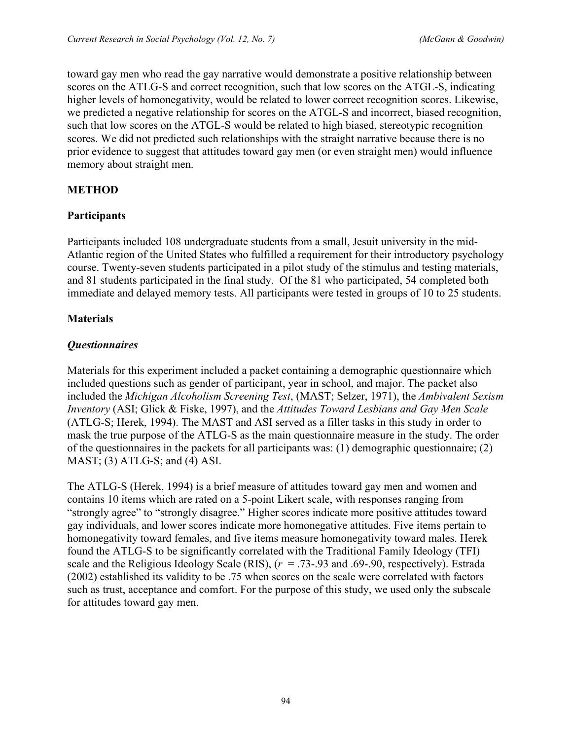toward gay men who read the gay narrative would demonstrate a positive relationship between scores on the ATLG-S and correct recognition, such that low scores on the ATGL-S, indicating higher levels of homonegativity, would be related to lower correct recognition scores. Likewise, we predicted a negative relationship for scores on the ATGL-S and incorrect, biased recognition, such that low scores on the ATGL-S would be related to high biased, stereotypic recognition scores. We did not predicted such relationships with the straight narrative because there is no prior evidence to suggest that attitudes toward gay men (or even straight men) would influence memory about straight men.

## **METHOD**

## **Participants**

Participants included 108 undergraduate students from a small, Jesuit university in the mid-Atlantic region of the United States who fulfilled a requirement for their introductory psychology course. Twenty-seven students participated in a pilot study of the stimulus and testing materials, and 81 students participated in the final study. Of the 81 who participated, 54 completed both immediate and delayed memory tests. All participants were tested in groups of 10 to 25 students.

### **Materials**

## *Questionnaires*

Materials for this experiment included a packet containing a demographic questionnaire which included questions such as gender of participant, year in school, and major. The packet also included the *Michigan Alcoholism Screening Test*, (MAST; Selzer, 1971), the *Ambivalent Sexism Inventory* (ASI; Glick & Fiske, 1997), and the *Attitudes Toward Lesbians and Gay Men Scale* (ATLG-S; Herek, 1994). The MAST and ASI served as a filler tasks in this study in order to mask the true purpose of the ATLG-S as the main questionnaire measure in the study. The order of the questionnaires in the packets for all participants was: (1) demographic questionnaire; (2)  $MAST$ ; (3)  $ATLG-S$ ; and (4) ASI.

The ATLG-S (Herek, 1994) is a brief measure of attitudes toward gay men and women and contains 10 items which are rated on a 5-point Likert scale, with responses ranging from "strongly agree" to "strongly disagree." Higher scores indicate more positive attitudes toward gay individuals, and lower scores indicate more homonegative attitudes. Five items pertain to homonegativity toward females, and five items measure homonegativity toward males. Herek found the ATLG-S to be significantly correlated with the Traditional Family Ideology (TFI) scale and the Religious Ideology Scale (RIS),  $(r = .73-0.93)$  and  $.69-0.90$ , respectively). Estrada (2002) established its validity to be .75 when scores on the scale were correlated with factors such as trust, acceptance and comfort. For the purpose of this study, we used only the subscale for attitudes toward gay men.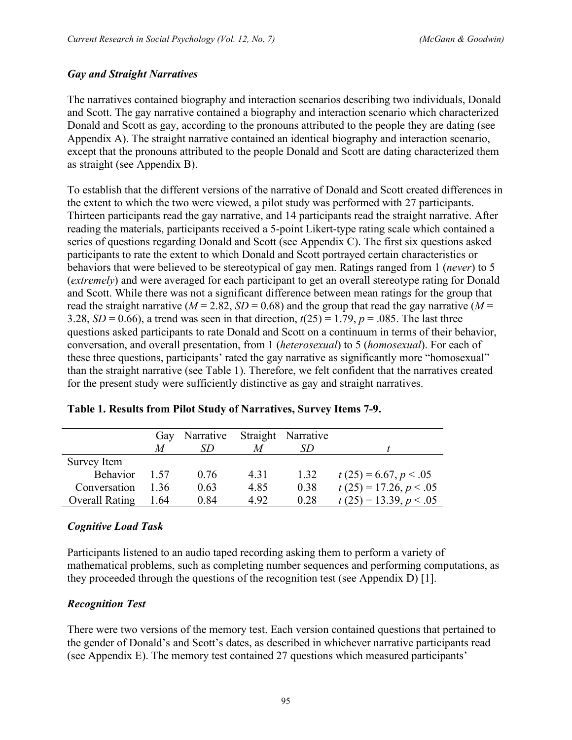#### *Gay and Straight Narratives*

The narratives contained biography and interaction scenarios describing two individuals, Donald and Scott. The gay narrative contained a biography and interaction scenario which characterized Donald and Scott as gay, according to the pronouns attributed to the people they are dating (see Appendix A). The straight narrative contained an identical biography and interaction scenario, except that the pronouns attributed to the people Donald and Scott are dating characterized them as straight (see Appendix B).

To establish that the different versions of the narrative of Donald and Scott created differences in the extent to which the two were viewed, a pilot study was performed with 27 participants. Thirteen participants read the gay narrative, and 14 participants read the straight narrative. After reading the materials, participants received a 5-point Likert-type rating scale which contained a series of questions regarding Donald and Scott (see Appendix C). The first six questions asked participants to rate the extent to which Donald and Scott portrayed certain characteristics or behaviors that were believed to be stereotypical of gay men. Ratings ranged from 1 (*never*) to 5 (*extremely*) and were averaged for each participant to get an overall stereotype rating for Donald and Scott. While there was not a significant difference between mean ratings for the group that read the straight narrative ( $M = 2.82$ ,  $SD = 0.68$ ) and the group that read the gay narrative ( $M =$ 3.28, *SD* = 0.66), a trend was seen in that direction,  $t(25) = 1.79$ ,  $p = .085$ . The last three questions asked participants to rate Donald and Scott on a continuum in terms of their behavior, conversation, and overall presentation, from 1 (*heterosexual*) to 5 (*homosexual*). For each of these three questions, participants' rated the gay narrative as significantly more "homosexual" than the straight narrative (see Table 1). Therefore, we felt confident that the narratives created for the present study were sufficiently distinctive as gay and straight narratives.

|                       | Gav  | Narrative |      | Straight Narrative |                          |
|-----------------------|------|-----------|------|--------------------|--------------------------|
|                       | M    | SD        | M    |                    |                          |
| Survey Item           |      |           |      |                    |                          |
| <b>Behavior</b>       | 1 57 | 076       | 4.31 | 1.32               | $t(25) = 6.67, p < 0.05$ |
| Conversation          | 136  | 0.63      | 4.85 | 0.38               | $t(25) = 17.26, p < .05$ |
| <b>Overall Rating</b> | 1.64 | 0.84      | 492  | 0.28               | $t(25) = 13.39, p < .05$ |

|  |  | Table 1. Results from Pilot Study of Narratives, Survey Items 7-9. |  |  |
|--|--|--------------------------------------------------------------------|--|--|
|  |  |                                                                    |  |  |

### *Cognitive Load Task*

Participants listened to an audio taped recording asking them to perform a variety of mathematical problems, such as completing number sequences and performing computations, as they proceeded through the questions of the recognition test (see Appendix D) [1].

### *Recognition Test*

There were two versions of the memory test. Each version contained questions that pertained to the gender of Donald's and Scott's dates, as described in whichever narrative participants read (see Appendix E). The memory test contained 27 questions which measured participants'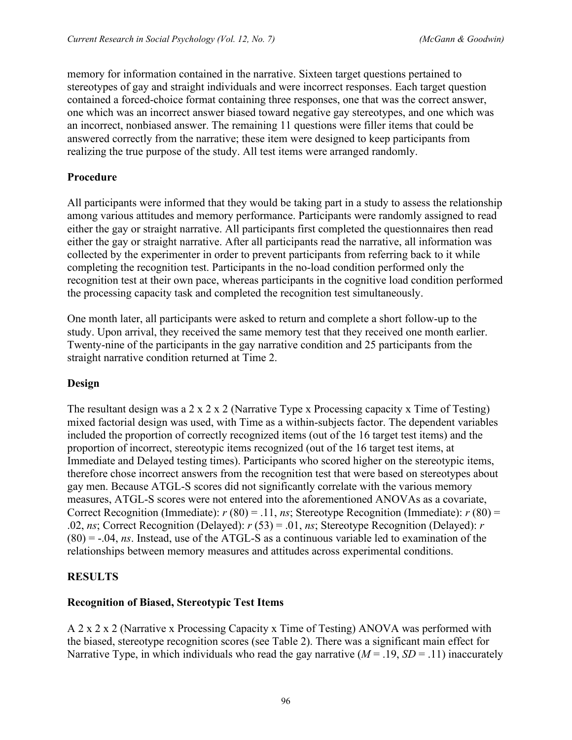memory for information contained in the narrative. Sixteen target questions pertained to stereotypes of gay and straight individuals and were incorrect responses. Each target question contained a forced-choice format containing three responses, one that was the correct answer, one which was an incorrect answer biased toward negative gay stereotypes, and one which was an incorrect, nonbiased answer. The remaining 11 questions were filler items that could be answered correctly from the narrative; these item were designed to keep participants from realizing the true purpose of the study. All test items were arranged randomly.

## **Procedure**

All participants were informed that they would be taking part in a study to assess the relationship among various attitudes and memory performance. Participants were randomly assigned to read either the gay or straight narrative. All participants first completed the questionnaires then read either the gay or straight narrative. After all participants read the narrative, all information was collected by the experimenter in order to prevent participants from referring back to it while completing the recognition test. Participants in the no-load condition performed only the recognition test at their own pace, whereas participants in the cognitive load condition performed the processing capacity task and completed the recognition test simultaneously.

One month later, all participants were asked to return and complete a short follow-up to the study. Upon arrival, they received the same memory test that they received one month earlier. Twenty-nine of the participants in the gay narrative condition and 25 participants from the straight narrative condition returned at Time 2.

### **Design**

The resultant design was a 2 x 2 x 2 (Narrative Type x Processing capacity x Time of Testing) mixed factorial design was used, with Time as a within-subjects factor. The dependent variables included the proportion of correctly recognized items (out of the 16 target test items) and the proportion of incorrect, stereotypic items recognized (out of the 16 target test items, at Immediate and Delayed testing times). Participants who scored higher on the stereotypic items, therefore chose incorrect answers from the recognition test that were based on stereotypes about gay men. Because ATGL-S scores did not significantly correlate with the various memory measures, ATGL-S scores were not entered into the aforementioned ANOVAs as a covariate, Correct Recognition (Immediate):  $r(80) = .11$ , *ns*; Stereotype Recognition (Immediate):  $r(80) =$ .02, *ns*; Correct Recognition (Delayed): *r* (53) = .01, *ns*; Stereotype Recognition (Delayed): *r* (80) = -.04, *ns*. Instead, use of the ATGL-S as a continuous variable led to examination of the relationships between memory measures and attitudes across experimental conditions.

# **RESULTS**

# **Recognition of Biased, Stereotypic Test Items**

A 2 x 2 x 2 (Narrative x Processing Capacity x Time of Testing) ANOVA was performed with the biased, stereotype recognition scores (see Table 2). There was a significant main effect for Narrative Type, in which individuals who read the gay narrative  $(M = .19, SD = .11)$  inaccurately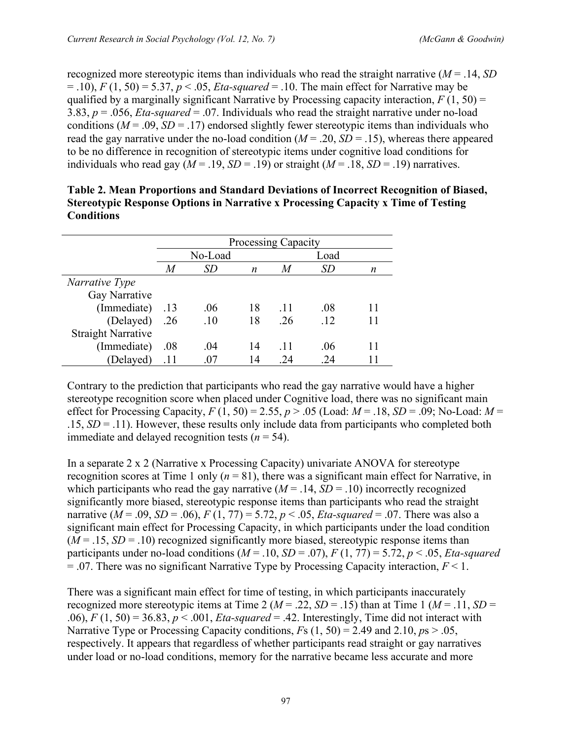recognized more stereotypic items than individuals who read the straight narrative (*M* = .14, *SD*  $=$  .10),  $F(1, 50) = 5.37$ ,  $p < .05$ , *Eta-squared*  $= .10$ . The main effect for Narrative may be qualified by a marginally significant Narrative by Processing capacity interaction,  $F(1, 50) =$ 3.83, *p* = .056, *Eta-squared* = .07. Individuals who read the straight narrative under no-load conditions ( $M = 0.09$ ,  $SD = 0.17$ ) endorsed slightly fewer stereotypic items than individuals who read the gay narrative under the no-load condition  $(M = .20, SD = .15)$ , whereas there appeared to be no difference in recognition of stereotypic items under cognitive load conditions for individuals who read gay ( $M = .19$ ,  $SD = .19$ ) or straight ( $M = .18$ ,  $SD = .19$ ) narratives.

|                           | <b>Processing Capacity</b> |         |    |      |     |    |
|---------------------------|----------------------------|---------|----|------|-----|----|
|                           |                            | No-Load |    | Load |     |    |
|                           | M                          | SD      | n  | M    | SD  | n  |
| Narrative Type            |                            |         |    |      |     |    |
| Gay Narrative             |                            |         |    |      |     |    |
| (Immediate)               | .13                        | .06     | 18 | -11  | .08 | 11 |
| (Delayed) .26             |                            | .10     | 18 | .26  | .12 | 11 |
| <b>Straight Narrative</b> |                            |         |    |      |     |    |
| (Immediate)               | .08                        | .04     | 14 | .11  | .06 | 11 |
| (Delayed)                 | .11                        | 07      | 14 | 24   | 24  |    |

| Table 2. Mean Proportions and Standard Deviations of Incorrect Recognition of Biased, |
|---------------------------------------------------------------------------------------|
| Stereotypic Response Options in Narrative x Processing Capacity x Time of Testing     |
| <b>Conditions</b>                                                                     |

Contrary to the prediction that participants who read the gay narrative would have a higher stereotype recognition score when placed under Cognitive load, there was no significant main effect for Processing Capacity,  $F(1, 50) = 2.55$ ,  $p > .05$  (Load:  $M = .18$ ,  $SD = .09$ ; No-Load:  $M =$  $.15, SD = .11$ ). However, these results only include data from participants who completed both immediate and delayed recognition tests  $(n = 54)$ .

In a separate 2 x 2 (Narrative x Processing Capacity) univariate ANOVA for stereotype recognition scores at Time 1 only  $(n = 81)$ , there was a significant main effect for Narrative, in which participants who read the gay narrative  $(M = .14, SD = .10)$  incorrectly recognized significantly more biased, stereotypic response items than participants who read the straight narrative ( $M = .09$ ,  $SD = .06$ ),  $F(1, 77) = 5.72$ ,  $p < .05$ ,  $Et_a$ -squared = .07. There was also a significant main effect for Processing Capacity, in which participants under the load condition  $(M = .15, SD = .10)$  recognized significantly more biased, stereotypic response items than participants under no-load conditions  $(M = .10, SD = .07)$ ,  $F(1, 77) = 5.72$ ,  $p < .05$ , *Eta-squared*  $= 0.07$ . There was no significant Narrative Type by Processing Capacity interaction,  $F \le 1$ .

There was a significant main effect for time of testing, in which participants inaccurately recognized more stereotypic items at Time 2 ( $M = .22$ ,  $SD = .15$ ) than at Time 1 ( $M = .11$ ,  $SD =$ .06),  $F(1, 50) = 36.83$ ,  $p < .001$ , *Eta-squared* = .42. Interestingly, Time did not interact with Narrative Type or Processing Capacity conditions,  $F_s$  (1, 50) = 2.49 and 2.10,  $p_s$  > .05, respectively. It appears that regardless of whether participants read straight or gay narratives under load or no-load conditions, memory for the narrative became less accurate and more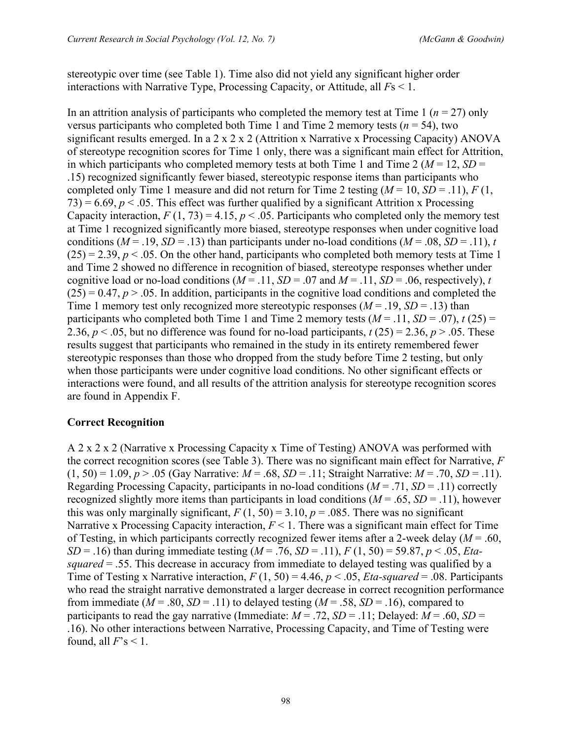stereotypic over time (see Table 1). Time also did not yield any significant higher order interactions with Narrative Type, Processing Capacity, or Attitude, all *F*s < 1.

In an attrition analysis of participants who completed the memory test at Time 1 ( $n = 27$ ) only versus participants who completed both Time 1 and Time 2 memory tests ( $n = 54$ ), two significant results emerged. In a 2 x 2 x 2 (Attrition x Narrative x Processing Capacity) ANOVA of stereotype recognition scores for Time 1 only, there was a significant main effect for Attrition, in which participants who completed memory tests at both Time 1 and Time 2 ( $M = 12$ ,  $SD =$ .15) recognized significantly fewer biased, stereotypic response items than participants who completed only Time 1 measure and did not return for Time 2 testing  $(M = 10, SD = .11)$ ,  $F(1,$ 73) = 6.69,  $p < 0.05$ . This effect was further qualified by a significant Attrition x Processing Capacity interaction,  $F(1, 73) = 4.15$ ,  $p < .05$ . Participants who completed only the memory test at Time 1 recognized significantly more biased, stereotype responses when under cognitive load conditions ( $M = .19$ ,  $SD = .13$ ) than participants under no-load conditions ( $M = .08$ ,  $SD = .11$ ), *t*  $(25) = 2.39$ ,  $p < .05$ . On the other hand, participants who completed both memory tests at Time 1 and Time 2 showed no difference in recognition of biased, stereotype responses whether under cognitive load or no-load conditions ( $M = .11$ ,  $SD = .07$  and  $M = .11$ ,  $SD = .06$ , respectively), *t*  $(25) = 0.47$ ,  $p > 0.05$ . In addition, participants in the cognitive load conditions and completed the Time 1 memory test only recognized more stereotypic responses  $(M = .19, SD = .13)$  than participants who completed both Time 1 and Time 2 memory tests  $(M = .11, SD = .07)$ ,  $t(25) =$ 2.36,  $p < .05$ , but no difference was found for no-load participants,  $t(25) = 2.36$ ,  $p > .05$ . These results suggest that participants who remained in the study in its entirety remembered fewer stereotypic responses than those who dropped from the study before Time 2 testing, but only when those participants were under cognitive load conditions. No other significant effects or interactions were found, and all results of the attrition analysis for stereotype recognition scores are found in Appendix F.

### **Correct Recognition**

A 2 x 2 x 2 (Narrative x Processing Capacity x Time of Testing) ANOVA was performed with the correct recognition scores (see Table 3). There was no significant main effect for Narrative, *F* (1, 50) = 1.09, *p* > .05 (Gay Narrative: *M* = .68, *SD* = .11; Straight Narrative: *M* = .70, *SD* = .11). Regarding Processing Capacity, participants in no-load conditions  $(M = .71, SD = .11)$  correctly recognized slightly more items than participants in load conditions  $(M = .65, SD = .11)$ , however this was only marginally significant,  $F(1, 50) = 3.10$ ,  $p = .085$ . There was no significant Narrative x Processing Capacity interaction,  $F \leq 1$ . There was a significant main effect for Time of Testing, in which participants correctly recognized fewer items after a 2-week delay (*M* = .60, *SD* = .16) than during immediate testing  $(M = .76, SD = .11)$ ,  $F(1, 50) = 59.87$ ,  $p < .05$ , *Etasquared* = .55. This decrease in accuracy from immediate to delayed testing was qualified by a Time of Testing x Narrative interaction,  $F(1, 50) = 4.46$ ,  $p < .05$ , *Eta-squared* = .08. Participants who read the straight narrative demonstrated a larger decrease in correct recognition performance from immediate ( $M = .80$ ,  $SD = .11$ ) to delayed testing ( $M = .58$ ,  $SD = .16$ ), compared to participants to read the gay narrative (Immediate:  $M = .72$ ,  $SD = .11$ ; Delayed:  $M = .60$ ,  $SD =$ .16). No other interactions between Narrative, Processing Capacity, and Time of Testing were found, all  $F$ 's < 1.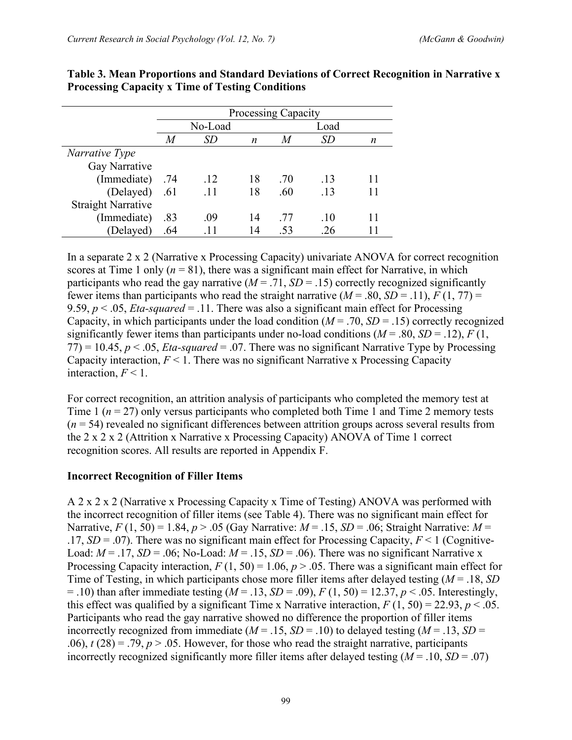|                           | Processing Capacity |           |    |     |           |   |
|---------------------------|---------------------|-----------|----|-----|-----------|---|
|                           |                     | No-Load   |    |     | Load      |   |
|                           | M                   | <i>SD</i> | n  | M   | <i>SD</i> | n |
| Narrative Type            |                     |           |    |     |           |   |
| Gay Narrative             |                     |           |    |     |           |   |
| (Immediate)               | .74                 | .12       | 18 | .70 | .13       |   |
| (Delayed)                 | .61                 | .11       | 18 | .60 | .13       |   |
| <b>Straight Narrative</b> |                     |           |    |     |           |   |
| (Immediate)               | .83                 | .09       | 14 | -77 | .10       |   |
| (Delayed)                 | .64                 | .11       | 14 | .53 | .26       |   |

#### **Table 3. Mean Proportions and Standard Deviations of Correct Recognition in Narrative x Processing Capacity x Time of Testing Conditions**

In a separate 2 x 2 (Narrative x Processing Capacity) univariate ANOVA for correct recognition scores at Time 1 only  $(n = 81)$ , there was a significant main effect for Narrative, in which participants who read the gay narrative  $(M = .71, SD = .15)$  correctly recognized significantly fewer items than participants who read the straight narrative  $(M = .80, SD = .11)$ ,  $F(1, 77) =$ 9.59, *p* < .05, *Eta-squared* = .11. There was also a significant main effect for Processing Capacity, in which participants under the load condition  $(M = .70, SD = .15)$  correctly recognized significantly fewer items than participants under no-load conditions  $(M = .80, SD = .12)$ ,  $F(1,$  $77$ ) = 10.45,  $p < 0.05$ , *Eta-squared* = .07. There was no significant Narrative Type by Processing Capacity interaction,  $F \leq 1$ . There was no significant Narrative x Processing Capacity interaction,  $F < 1$ .

For correct recognition, an attrition analysis of participants who completed the memory test at Time 1 ( $n = 27$ ) only versus participants who completed both Time 1 and Time 2 memory tests  $(n = 54)$  revealed no significant differences between attrition groups across several results from the 2 x 2 x 2 (Attrition x Narrative x Processing Capacity) ANOVA of Time 1 correct recognition scores. All results are reported in Appendix F.

#### **Incorrect Recognition of Filler Items**

A 2 x 2 x 2 (Narrative x Processing Capacity x Time of Testing) ANOVA was performed with the incorrect recognition of filler items (see Table 4). There was no significant main effect for Narrative,  $F(1, 50) = 1.84$ ,  $p > .05$  (Gay Narrative:  $M = .15$ ,  $SD = .06$ ; Straight Narrative:  $M =$ .17,  $SD = .07$ ). There was no significant main effect for Processing Capacity,  $F < 1$  (Cognitive-Load:  $M = .17$ ,  $SD = .06$ ; No-Load:  $M = .15$ ,  $SD = .06$ ). There was no significant Narrative x Processing Capacity interaction,  $F(1, 50) = 1.06$ ,  $p > .05$ . There was a significant main effect for Time of Testing, in which participants chose more filler items after delayed testing (*M* = .18, *SD*  $= .10$ ) than after immediate testing ( $M = .13$ ,  $SD = .09$ ),  $F(1, 50) = 12.37$ ,  $p < .05$ . Interestingly, this effect was qualified by a significant Time x Narrative interaction,  $F(1, 50) = 22.93$ ,  $p < .05$ . Participants who read the gay narrative showed no difference the proportion of filler items incorrectly recognized from immediate ( $M = .15$ ,  $SD = .10$ ) to delayed testing ( $M = .13$ ,  $SD =$ .06),  $t(28) = .79$ ,  $p > .05$ . However, for those who read the straight narrative, participants incorrectly recognized significantly more filler items after delayed testing  $(M = .10, SD = .07)$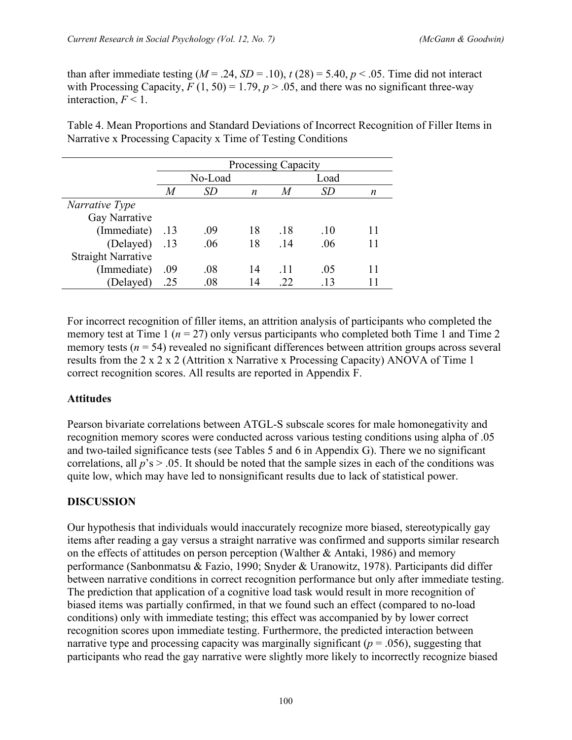than after immediate testing  $(M = .24, SD = .10)$ ,  $t(28) = 5.40, p < .05$ . Time did not interact with Processing Capacity,  $F(1, 50) = 1.79$ ,  $p > .05$ , and there was no significant three-way interaction,  $F < 1$ .

Table 4. Mean Proportions and Standard Deviations of Incorrect Recognition of Filler Items in Narrative x Processing Capacity x Time of Testing Conditions

|                           | <b>Processing Capacity</b> |         |    |                  |           |    |
|---------------------------|----------------------------|---------|----|------------------|-----------|----|
|                           |                            | No-Load |    |                  | Load      |    |
|                           | M                          | SD      | n  | $\boldsymbol{M}$ | <i>SD</i> | n  |
| Narrative Type            |                            |         |    |                  |           |    |
| Gay Narrative             |                            |         |    |                  |           |    |
| (Immediate)               | .13                        | .09     | 18 | .18              | .10       | 11 |
| (Delayed) .13             |                            | .06     | 18 | .14              | .06       |    |
| <b>Straight Narrative</b> |                            |         |    |                  |           |    |
| (Immediate)               | .09                        | .08     | 14 | -11              | .05       | 11 |
| (Delayed)                 | .25                        | .08     | 14 | .22              | .13       |    |

For incorrect recognition of filler items, an attrition analysis of participants who completed the memory test at Time 1 ( $n = 27$ ) only versus participants who completed both Time 1 and Time 2 memory tests  $(n = 54)$  revealed no significant differences between attrition groups across several results from the 2 x 2 x 2 (Attrition x Narrative x Processing Capacity) ANOVA of Time 1 correct recognition scores. All results are reported in Appendix F.

# **Attitudes**

Pearson bivariate correlations between ATGL-S subscale scores for male homonegativity and recognition memory scores were conducted across various testing conditions using alpha of .05 and two-tailed significance tests (see Tables 5 and 6 in Appendix G). There we no significant correlations, all  $p$ 's  $> 0.05$ . It should be noted that the sample sizes in each of the conditions was quite low, which may have led to nonsignificant results due to lack of statistical power.

# **DISCUSSION**

Our hypothesis that individuals would inaccurately recognize more biased, stereotypically gay items after reading a gay versus a straight narrative was confirmed and supports similar research on the effects of attitudes on person perception (Walther & Antaki, 1986) and memory performance (Sanbonmatsu & Fazio, 1990; Snyder & Uranowitz, 1978). Participants did differ between narrative conditions in correct recognition performance but only after immediate testing. The prediction that application of a cognitive load task would result in more recognition of biased items was partially confirmed, in that we found such an effect (compared to no-load conditions) only with immediate testing; this effect was accompanied by by lower correct recognition scores upon immediate testing. Furthermore, the predicted interaction between narrative type and processing capacity was marginally significant ( $p = .056$ ), suggesting that participants who read the gay narrative were slightly more likely to incorrectly recognize biased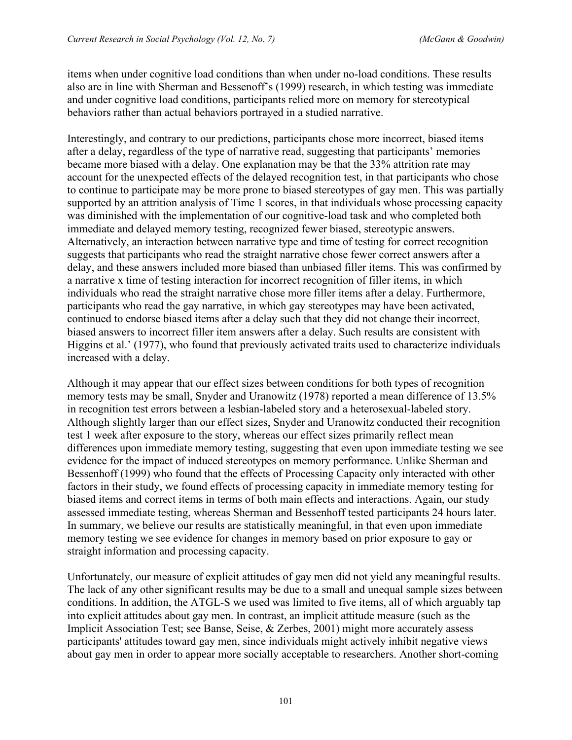items when under cognitive load conditions than when under no-load conditions. These results also are in line with Sherman and Bessenoff's (1999) research, in which testing was immediate and under cognitive load conditions, participants relied more on memory for stereotypical behaviors rather than actual behaviors portrayed in a studied narrative.

Interestingly, and contrary to our predictions, participants chose more incorrect, biased items after a delay, regardless of the type of narrative read, suggesting that participants' memories became more biased with a delay. One explanation may be that the 33% attrition rate may account for the unexpected effects of the delayed recognition test, in that participants who chose to continue to participate may be more prone to biased stereotypes of gay men. This was partially supported by an attrition analysis of Time 1 scores, in that individuals whose processing capacity was diminished with the implementation of our cognitive-load task and who completed both immediate and delayed memory testing, recognized fewer biased, stereotypic answers. Alternatively, an interaction between narrative type and time of testing for correct recognition suggests that participants who read the straight narrative chose fewer correct answers after a delay, and these answers included more biased than unbiased filler items. This was confirmed by a narrative x time of testing interaction for incorrect recognition of filler items, in which individuals who read the straight narrative chose more filler items after a delay. Furthermore, participants who read the gay narrative, in which gay stereotypes may have been activated, continued to endorse biased items after a delay such that they did not change their incorrect, biased answers to incorrect filler item answers after a delay. Such results are consistent with Higgins et al.' (1977), who found that previously activated traits used to characterize individuals increased with a delay.

Although it may appear that our effect sizes between conditions for both types of recognition memory tests may be small, Snyder and Uranowitz (1978) reported a mean difference of 13.5% in recognition test errors between a lesbian-labeled story and a heterosexual-labeled story. Although slightly larger than our effect sizes, Snyder and Uranowitz conducted their recognition test 1 week after exposure to the story, whereas our effect sizes primarily reflect mean differences upon immediate memory testing, suggesting that even upon immediate testing we see evidence for the impact of induced stereotypes on memory performance. Unlike Sherman and Bessenhoff (1999) who found that the effects of Processing Capacity only interacted with other factors in their study, we found effects of processing capacity in immediate memory testing for biased items and correct items in terms of both main effects and interactions. Again, our study assessed immediate testing, whereas Sherman and Bessenhoff tested participants 24 hours later. In summary, we believe our results are statistically meaningful, in that even upon immediate memory testing we see evidence for changes in memory based on prior exposure to gay or straight information and processing capacity.

Unfortunately, our measure of explicit attitudes of gay men did not yield any meaningful results. The lack of any other significant results may be due to a small and unequal sample sizes between conditions. In addition, the ATGL-S we used was limited to five items, all of which arguably tap into explicit attitudes about gay men. In contrast, an implicit attitude measure (such as the Implicit Association Test; see Banse, Seise, & Zerbes, 2001) might more accurately assess participants' attitudes toward gay men, since individuals might actively inhibit negative views about gay men in order to appear more socially acceptable to researchers. Another short-coming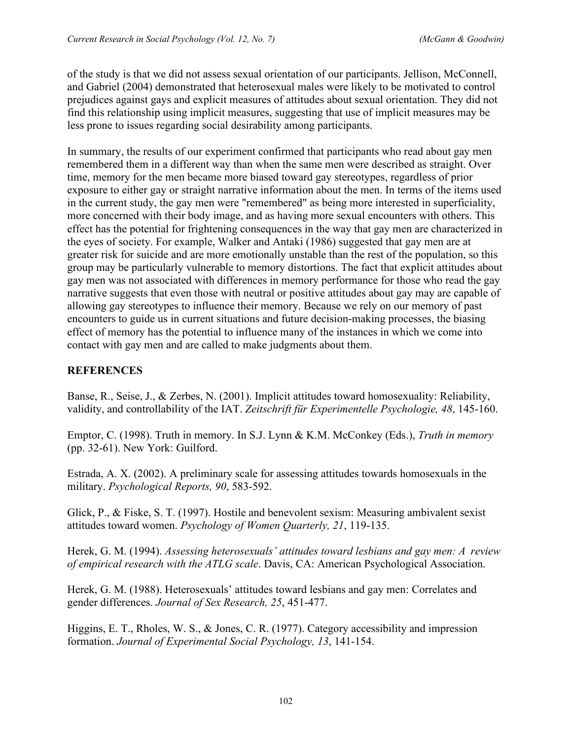of the study is that we did not assess sexual orientation of our participants. Jellison, McConnell, and Gabriel (2004) demonstrated that heterosexual males were likely to be motivated to control prejudices against gays and explicit measures of attitudes about sexual orientation. They did not find this relationship using implicit measures, suggesting that use of implicit measures may be less prone to issues regarding social desirability among participants.

In summary, the results of our experiment confirmed that participants who read about gay men remembered them in a different way than when the same men were described as straight. Over time, memory for the men became more biased toward gay stereotypes, regardless of prior exposure to either gay or straight narrative information about the men. In terms of the items used in the current study, the gay men were "remembered" as being more interested in superficiality, more concerned with their body image, and as having more sexual encounters with others. This effect has the potential for frightening consequences in the way that gay men are characterized in the eyes of society. For example, Walker and Antaki (1986) suggested that gay men are at greater risk for suicide and are more emotionally unstable than the rest of the population, so this group may be particularly vulnerable to memory distortions. The fact that explicit attitudes about gay men was not associated with differences in memory performance for those who read the gay narrative suggests that even those with neutral or positive attitudes about gay may are capable of allowing gay stereotypes to influence their memory. Because we rely on our memory of past encounters to guide us in current situations and future decision-making processes, the biasing effect of memory has the potential to influence many of the instances in which we come into contact with gay men and are called to make judgments about them.

## **REFERENCES**

Banse, R., Seise, J., & Zerbes, N. (2001). Implicit attitudes toward homosexuality: Reliability, validity, and controllability of the IAT. *Zeitschrift für Experimentelle Psychologie, 48*, 145-160.

Emptor, C. (1998). Truth in memory. In S.J. Lynn & K.M. McConkey (Eds.), *Truth in memory* (pp. 32-61). New York: Guilford.

Estrada, A. X. (2002). A preliminary scale for assessing attitudes towards homosexuals in the military. *Psychological Reports, 90*, 583-592.

Glick, P., & Fiske, S. T. (1997). Hostile and benevolent sexism: Measuring ambivalent sexist attitudes toward women. *Psychology of Women Quarterly, 21*, 119-135.

Herek, G. M. (1994). *Assessing heterosexuals' attitudes toward lesbians and gay men: A review of empirical research with the ATLG scale*. Davis, CA: American Psychological Association.

Herek, G. M. (1988). Heterosexuals' attitudes toward lesbians and gay men: Correlates and gender differences. *Journal of Sex Research, 25*, 451-477.

Higgins, E. T., Rholes, W. S., & Jones, C. R. (1977). Category accessibility and impression formation. *Journal of Experimental Social Psychology, 13*, 141-154.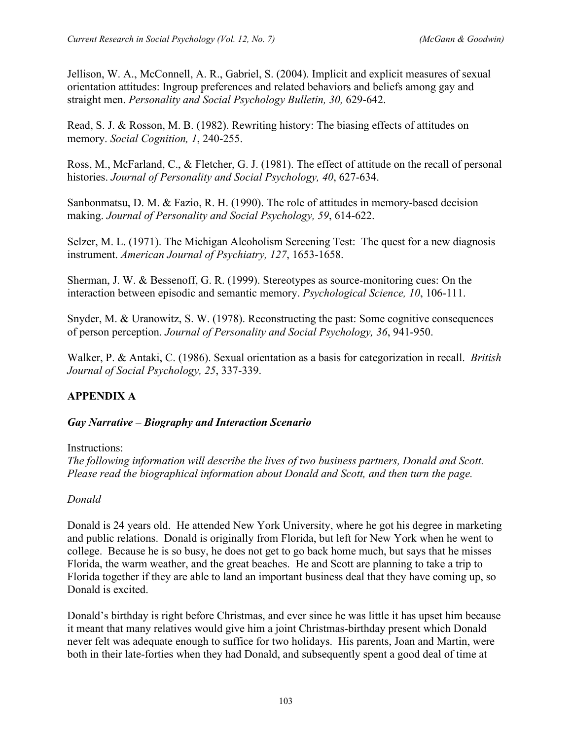Jellison, W. A., McConnell, A. R., Gabriel, S. (2004). Implicit and explicit measures of sexual orientation attitudes: Ingroup preferences and related behaviors and beliefs among gay and straight men. *Personality and Social Psychology Bulletin, 30,* 629-642.

Read, S. J. & Rosson, M. B. (1982). Rewriting history: The biasing effects of attitudes on memory. *Social Cognition, 1*, 240-255.

Ross, M., McFarland, C., & Fletcher, G. J. (1981). The effect of attitude on the recall of personal histories. *Journal of Personality and Social Psychology, 40*, 627-634.

Sanbonmatsu, D. M. & Fazio, R. H. (1990). The role of attitudes in memory-based decision making. *Journal of Personality and Social Psychology, 59*, 614-622.

Selzer, M. L. (1971). The Michigan Alcoholism Screening Test: The quest for a new diagnosis instrument. *American Journal of Psychiatry, 127*, 1653-1658.

Sherman, J. W. & Bessenoff, G. R. (1999). Stereotypes as source-monitoring cues: On the interaction between episodic and semantic memory. *Psychological Science, 10*, 106-111.

Snyder, M. & Uranowitz, S. W. (1978). Reconstructing the past: Some cognitive consequences of person perception. *Journal of Personality and Social Psychology, 36*, 941-950.

Walker, P. & Antaki, C. (1986). Sexual orientation as a basis for categorization in recall. *British Journal of Social Psychology, 25*, 337-339.

# **APPENDIX A**

### *Gay Narrative – Biography and Interaction Scenario*

Instructions:

*The following information will describe the lives of two business partners, Donald and Scott. Please read the biographical information about Donald and Scott, and then turn the page.* 

### *Donald*

Donald is 24 years old. He attended New York University, where he got his degree in marketing and public relations. Donald is originally from Florida, but left for New York when he went to college. Because he is so busy, he does not get to go back home much, but says that he misses Florida, the warm weather, and the great beaches. He and Scott are planning to take a trip to Florida together if they are able to land an important business deal that they have coming up, so Donald is excited.

Donald's birthday is right before Christmas, and ever since he was little it has upset him because it meant that many relatives would give him a joint Christmas-birthday present which Donald never felt was adequate enough to suffice for two holidays. His parents, Joan and Martin, were both in their late-forties when they had Donald, and subsequently spent a good deal of time at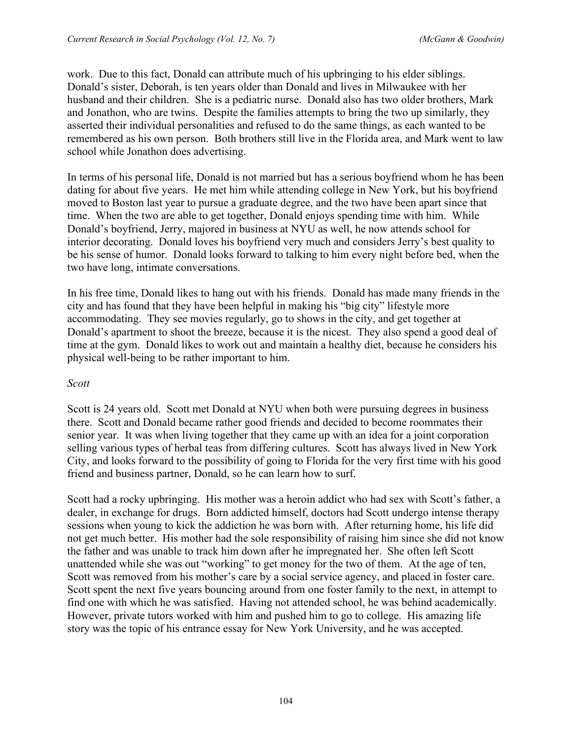work. Due to this fact, Donald can attribute much of his upbringing to his elder siblings. Donald's sister, Deborah, is ten years older than Donald and lives in Milwaukee with her husband and their children. She is a pediatric nurse. Donald also has two older brothers, Mark and Jonathon, who are twins. Despite the families attempts to bring the two up similarly, they asserted their individual personalities and refused to do the same things, as each wanted to be remembered as his own person. Both brothers still live in the Florida area, and Mark went to law school while Jonathon does advertising.

In terms of his personal life, Donald is not married but has a serious boyfriend whom he has been dating for about five years. He met him while attending college in New York, but his boyfriend moved to Boston last year to pursue a graduate degree, and the two have been apart since that time. When the two are able to get together, Donald enjoys spending time with him. While Donald's boyfriend, Jerry, majored in business at NYU as well, he now attends school for interior decorating. Donald loves his boyfriend very much and considers Jerry's best quality to be his sense of humor. Donald looks forward to talking to him every night before bed, when the two have long, intimate conversations.

In his free time, Donald likes to hang out with his friends. Donald has made many friends in the city and has found that they have been helpful in making his "big city" lifestyle more accommodating. They see movies regularly, go to shows in the city, and get together at Donald's apartment to shoot the breeze, because it is the nicest. They also spend a good deal of time at the gym. Donald likes to work out and maintain a healthy diet, because he considers his physical well-being to be rather important to him.

### *Scott*

Scott is 24 years old. Scott met Donald at NYU when both were pursuing degrees in business there. Scott and Donald became rather good friends and decided to become roommates their senior year. It was when living together that they came up with an idea for a joint corporation selling various types of herbal teas from differing cultures. Scott has always lived in New York City, and looks forward to the possibility of going to Florida for the very first time with his good friend and business partner, Donald, so he can learn how to surf.

Scott had a rocky upbringing. His mother was a heroin addict who had sex with Scott's father, a dealer, in exchange for drugs. Born addicted himself, doctors had Scott undergo intense therapy sessions when young to kick the addiction he was born with. After returning home, his life did not get much better. His mother had the sole responsibility of raising him since she did not know the father and was unable to track him down after he impregnated her. She often left Scott unattended while she was out "working" to get money for the two of them. At the age of ten, Scott was removed from his mother's care by a social service agency, and placed in foster care. Scott spent the next five years bouncing around from one foster family to the next, in attempt to find one with which he was satisfied. Having not attended school, he was behind academically. However, private tutors worked with him and pushed him to go to college. His amazing life story was the topic of his entrance essay for New York University, and he was accepted.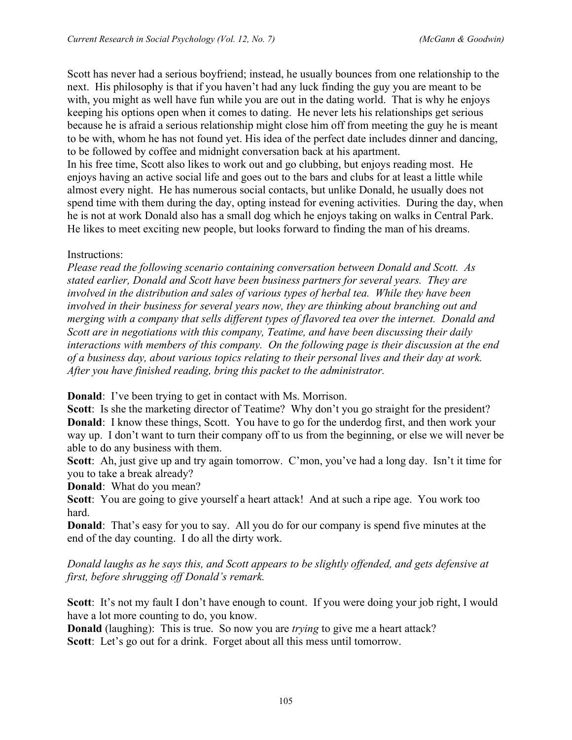Scott has never had a serious boyfriend; instead, he usually bounces from one relationship to the next. His philosophy is that if you haven't had any luck finding the guy you are meant to be with, you might as well have fun while you are out in the dating world. That is why he enjoys keeping his options open when it comes to dating. He never lets his relationships get serious because he is afraid a serious relationship might close him off from meeting the guy he is meant to be with, whom he has not found yet. His idea of the perfect date includes dinner and dancing, to be followed by coffee and midnight conversation back at his apartment. In his free time, Scott also likes to work out and go clubbing, but enjoys reading most. He enjoys having an active social life and goes out to the bars and clubs for at least a little while almost every night. He has numerous social contacts, but unlike Donald, he usually does not spend time with them during the day, opting instead for evening activities. During the day, when he is not at work Donald also has a small dog which he enjoys taking on walks in Central Park. He likes to meet exciting new people, but looks forward to finding the man of his dreams.

### Instructions:

*Please read the following scenario containing conversation between Donald and Scott. As stated earlier, Donald and Scott have been business partners for several years. They are involved in the distribution and sales of various types of herbal tea. While they have been involved in their business for several years now, they are thinking about branching out and merging with a company that sells different types of flavored tea over the internet. Donald and Scott are in negotiations with this company, Teatime, and have been discussing their daily interactions with members of this company. On the following page is their discussion at the end of a business day, about various topics relating to their personal lives and their day at work. After you have finished reading, bring this packet to the administrator.* 

**Donald:** I've been trying to get in contact with Ms. Morrison.

**Scott**: Is she the marketing director of Teatime? Why don't you go straight for the president? **Donald**: I know these things, Scott. You have to go for the underdog first, and then work your way up. I don't want to turn their company off to us from the beginning, or else we will never be able to do any business with them.

**Scott**: Ah, just give up and try again tomorrow. C'mon, you've had a long day. Isn't it time for you to take a break already?

**Donald**: What do you mean?

**Scott**: You are going to give yourself a heart attack! And at such a ripe age. You work too hard.

**Donald**: That's easy for you to say. All you do for our company is spend five minutes at the end of the day counting. I do all the dirty work.

*Donald laughs as he says this, and Scott appears to be slightly offended, and gets defensive at first, before shrugging off Donald's remark.* 

Scott: It's not my fault I don't have enough to count. If you were doing your job right, I would have a lot more counting to do, you know.

**Donald** (laughing): This is true. So now you are *trying* to give me a heart attack? **Scott**: Let's go out for a drink. Forget about all this mess until tomorrow.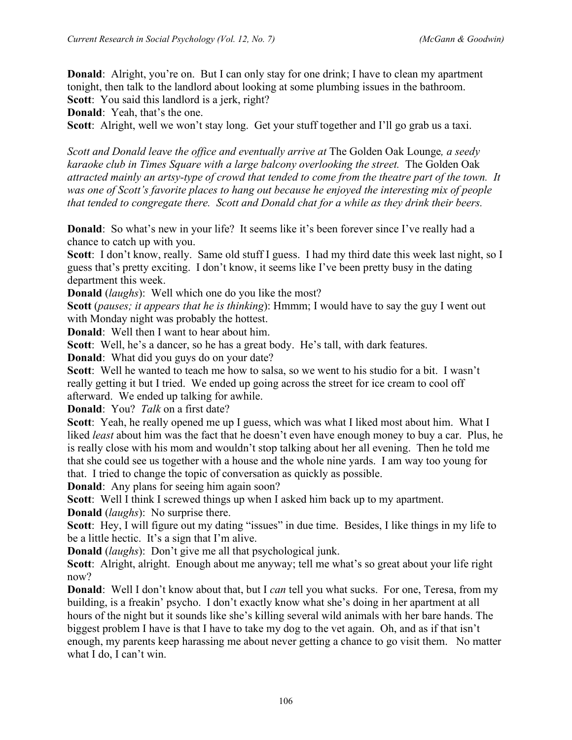**Donald:** Alright, you're on. But I can only stay for one drink; I have to clean my apartment tonight, then talk to the landlord about looking at some plumbing issues in the bathroom. **Scott**: You said this landlord is a jerk, right?

**Donald**: Yeah, that's the one.

**Scott**: Alright, well we won't stay long. Get your stuff together and I'll go grab us a taxi.

*Scott and Donald leave the office and eventually arrive at* The Golden Oak Lounge*, a seedy karaoke club in Times Square with a large balcony overlooking the street.* The Golden Oak *attracted mainly an artsy-type of crowd that tended to come from the theatre part of the town. It was one of Scott's favorite places to hang out because he enjoyed the interesting mix of people that tended to congregate there. Scott and Donald chat for a while as they drink their beers.* 

**Donald**: So what's new in your life? It seems like it's been forever since I've really had a chance to catch up with you.

**Scott**: I don't know, really. Same old stuff I guess. I had my third date this week last night, so I guess that's pretty exciting. I don't know, it seems like I've been pretty busy in the dating department this week.

**Donald** (*laughs*): Well which one do you like the most?

**Scott** (*pauses; it appears that he is thinking*): Hmmm; I would have to say the guy I went out with Monday night was probably the hottest.

**Donald**: Well then I want to hear about him.

**Scott**: Well, he's a dancer, so he has a great body. He's tall, with dark features.

**Donald**: What did you guys do on your date?

**Scott**: Well he wanted to teach me how to salsa, so we went to his studio for a bit. I wasn't really getting it but I tried. We ended up going across the street for ice cream to cool off afterward. We ended up talking for awhile.

**Donald**: You? *Talk* on a first date?

**Scott**: Yeah, he really opened me up I guess, which was what I liked most about him. What I liked *least* about him was the fact that he doesn't even have enough money to buy a car. Plus, he is really close with his mom and wouldn't stop talking about her all evening. Then he told me that she could see us together with a house and the whole nine yards. I am way too young for that. I tried to change the topic of conversation as quickly as possible.

**Donald**: Any plans for seeing him again soon?

**Scott**: Well I think I screwed things up when I asked him back up to my apartment.

**Donald** (*laughs*): No surprise there.

Scott: Hey, I will figure out my dating "issues" in due time. Besides, I like things in my life to be a little hectic. It's a sign that I'm alive.

**Donald** (*laughs*): Don't give me all that psychological junk.

**Scott**: Alright, alright. Enough about me anyway; tell me what's so great about your life right now?

**Donald**: Well I don't know about that, but I *can* tell you what sucks. For one, Teresa, from my building, is a freakin' psycho. I don't exactly know what she's doing in her apartment at all hours of the night but it sounds like she's killing several wild animals with her bare hands. The biggest problem I have is that I have to take my dog to the vet again. Oh, and as if that isn't enough, my parents keep harassing me about never getting a chance to go visit them. No matter what I do, I can't win.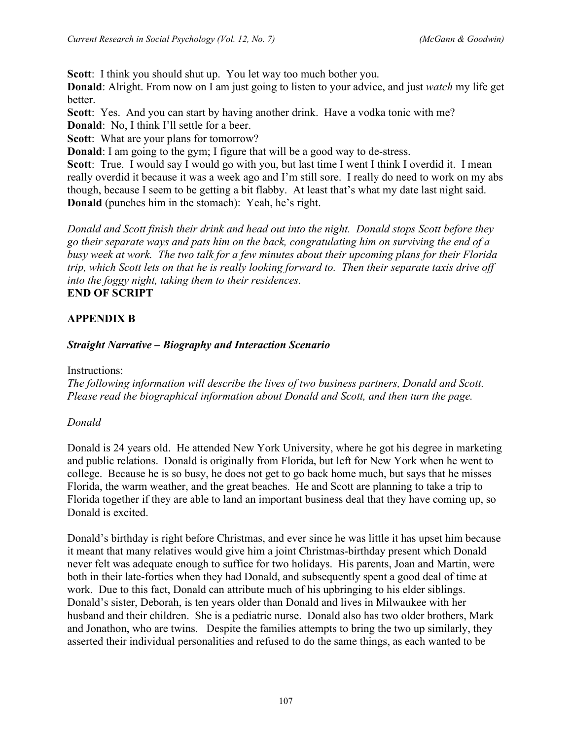**Scott**: I think you should shut up. You let way too much bother you.

**Donald**: Alright. From now on I am just going to listen to your advice, and just *watch* my life get better.

**Scott**: Yes. And you can start by having another drink. Have a vodka tonic with me? **Donald**: No, I think I'll settle for a beer.

Scott: What are your plans for tomorrow?

**Donald**: I am going to the gym; I figure that will be a good way to de-stress.

Scott: True. I would say I would go with you, but last time I went I think I overdid it. I mean really overdid it because it was a week ago and I'm still sore. I really do need to work on my abs though, because I seem to be getting a bit flabby. At least that's what my date last night said. **Donald** (punches him in the stomach): Yeah, he's right.

*Donald and Scott finish their drink and head out into the night. Donald stops Scott before they go their separate ways and pats him on the back, congratulating him on surviving the end of a busy week at work. The two talk for a few minutes about their upcoming plans for their Florida trip, which Scott lets on that he is really looking forward to. Then their separate taxis drive off into the foggy night, taking them to their residences.*  **END OF SCRIPT**

# **APPENDIX B**

## *Straight Narrative – Biography and Interaction Scenario*

Instructions:

*The following information will describe the lives of two business partners, Donald and Scott. Please read the biographical information about Donald and Scott, and then turn the page.* 

# *Donald*

Donald is 24 years old. He attended New York University, where he got his degree in marketing and public relations. Donald is originally from Florida, but left for New York when he went to college. Because he is so busy, he does not get to go back home much, but says that he misses Florida, the warm weather, and the great beaches. He and Scott are planning to take a trip to Florida together if they are able to land an important business deal that they have coming up, so Donald is excited.

Donald's birthday is right before Christmas, and ever since he was little it has upset him because it meant that many relatives would give him a joint Christmas-birthday present which Donald never felt was adequate enough to suffice for two holidays. His parents, Joan and Martin, were both in their late-forties when they had Donald, and subsequently spent a good deal of time at work. Due to this fact, Donald can attribute much of his upbringing to his elder siblings. Donald's sister, Deborah, is ten years older than Donald and lives in Milwaukee with her husband and their children. She is a pediatric nurse. Donald also has two older brothers, Mark and Jonathon, who are twins. Despite the families attempts to bring the two up similarly, they asserted their individual personalities and refused to do the same things, as each wanted to be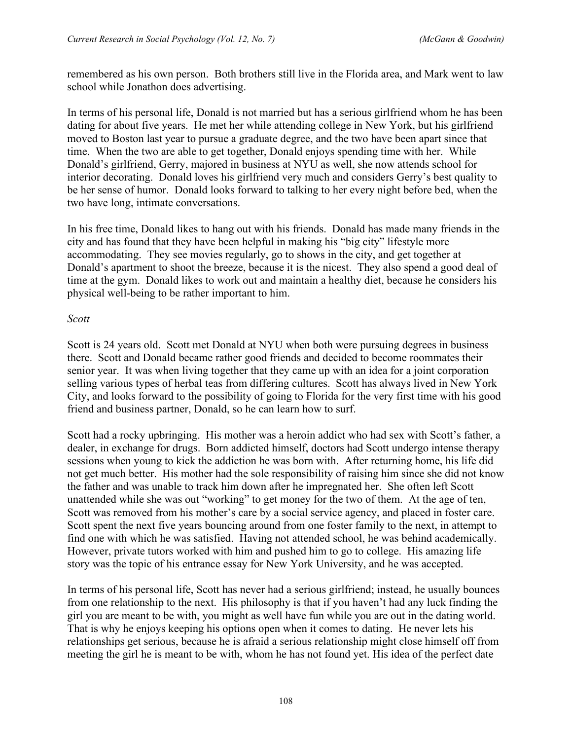remembered as his own person. Both brothers still live in the Florida area, and Mark went to law school while Jonathon does advertising.

In terms of his personal life, Donald is not married but has a serious girlfriend whom he has been dating for about five years. He met her while attending college in New York, but his girlfriend moved to Boston last year to pursue a graduate degree, and the two have been apart since that time. When the two are able to get together, Donald enjoys spending time with her. While Donald's girlfriend, Gerry, majored in business at NYU as well, she now attends school for interior decorating. Donald loves his girlfriend very much and considers Gerry's best quality to be her sense of humor. Donald looks forward to talking to her every night before bed, when the two have long, intimate conversations.

In his free time, Donald likes to hang out with his friends. Donald has made many friends in the city and has found that they have been helpful in making his "big city" lifestyle more accommodating. They see movies regularly, go to shows in the city, and get together at Donald's apartment to shoot the breeze, because it is the nicest. They also spend a good deal of time at the gym. Donald likes to work out and maintain a healthy diet, because he considers his physical well-being to be rather important to him.

#### *Scott*

Scott is 24 years old. Scott met Donald at NYU when both were pursuing degrees in business there. Scott and Donald became rather good friends and decided to become roommates their senior year. It was when living together that they came up with an idea for a joint corporation selling various types of herbal teas from differing cultures. Scott has always lived in New York City, and looks forward to the possibility of going to Florida for the very first time with his good friend and business partner, Donald, so he can learn how to surf.

Scott had a rocky upbringing. His mother was a heroin addict who had sex with Scott's father, a dealer, in exchange for drugs. Born addicted himself, doctors had Scott undergo intense therapy sessions when young to kick the addiction he was born with. After returning home, his life did not get much better. His mother had the sole responsibility of raising him since she did not know the father and was unable to track him down after he impregnated her. She often left Scott unattended while she was out "working" to get money for the two of them. At the age of ten, Scott was removed from his mother's care by a social service agency, and placed in foster care. Scott spent the next five years bouncing around from one foster family to the next, in attempt to find one with which he was satisfied. Having not attended school, he was behind academically. However, private tutors worked with him and pushed him to go to college. His amazing life story was the topic of his entrance essay for New York University, and he was accepted.

In terms of his personal life, Scott has never had a serious girlfriend; instead, he usually bounces from one relationship to the next. His philosophy is that if you haven't had any luck finding the girl you are meant to be with, you might as well have fun while you are out in the dating world. That is why he enjoys keeping his options open when it comes to dating. He never lets his relationships get serious, because he is afraid a serious relationship might close himself off from meeting the girl he is meant to be with, whom he has not found yet. His idea of the perfect date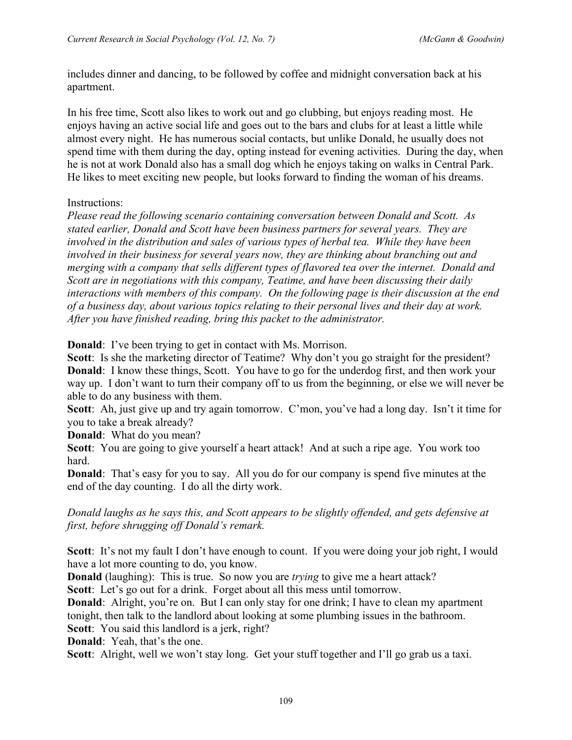includes dinner and dancing, to be followed by coffee and midnight conversation back at his apartment.

In his free time, Scott also likes to work out and go clubbing, but enjoys reading most. He enjoys having an active social life and goes out to the bars and clubs for at least a little while almost every night. He has numerous social contacts, but unlike Donald, he usually does not spend time with them during the day, opting instead for evening activities. During the day, when he is not at work Donald also has a small dog which he enjoys taking on walks in Central Park. He likes to meet exciting new people, but looks forward to finding the woman of his dreams.

#### Instructions:

*Please read the following scenario containing conversation between Donald and Scott. As stated earlier, Donald and Scott have been business partners for several years. They are involved in the distribution and sales of various types of herbal tea. While they have been involved in their business for several years now, they are thinking about branching out and merging with a company that sells different types of flavored tea over the internet. Donald and Scott are in negotiations with this company, Teatime, and have been discussing their daily interactions with members of this company. On the following page is their discussion at the end of a business day, about various topics relating to their personal lives and their day at work. After you have finished reading, bring this packet to the administrator.* 

**Donald**: I've been trying to get in contact with Ms. Morrison.

**Scott**: Is she the marketing director of Teatime? Why don't you go straight for the president? **Donald**: I know these things, Scott. You have to go for the underdog first, and then work your way up. I don't want to turn their company off to us from the beginning, or else we will never be able to do any business with them.

**Scott**: Ah, just give up and try again tomorrow. C'mon, you've had a long day. Isn't it time for you to take a break already?

**Donald**: What do you mean?

**Scott**: You are going to give yourself a heart attack! And at such a ripe age. You work too hard.

**Donald**: That's easy for you to say. All you do for our company is spend five minutes at the end of the day counting. I do all the dirty work.

*Donald laughs as he says this, and Scott appears to be slightly offended, and gets defensive at first, before shrugging off Donald's remark.* 

Scott: It's not my fault I don't have enough to count. If you were doing your job right, I would have a lot more counting to do, you know.

**Donald** (laughing): This is true. So now you are *trying* to give me a heart attack?

**Scott**: Let's go out for a drink. Forget about all this mess until tomorrow.

**Donald:** Alright, you're on. But I can only stay for one drink; I have to clean my apartment tonight, then talk to the landlord about looking at some plumbing issues in the bathroom.

**Scott**: You said this landlord is a jerk, right?

**Donald**: Yeah, that's the one.

**Scott**: Alright, well we won't stay long. Get your stuff together and I'll go grab us a taxi.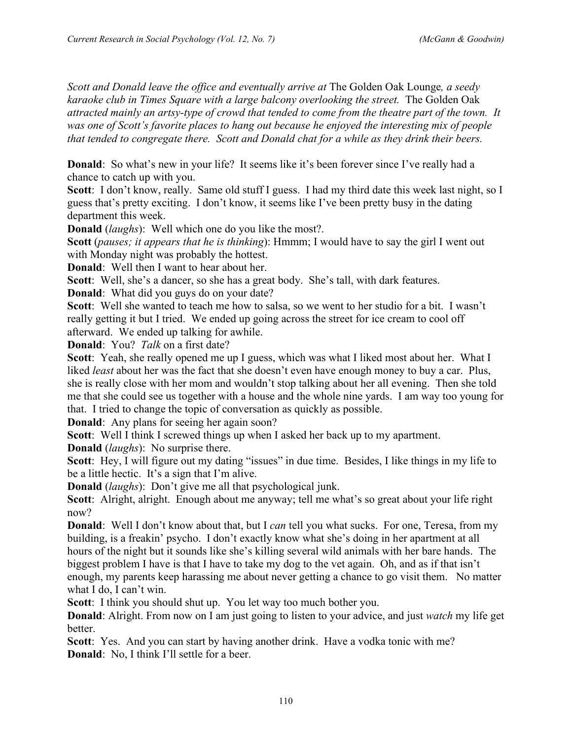*Scott and Donald leave the office and eventually arrive at* The Golden Oak Lounge*, a seedy karaoke club in Times Square with a large balcony overlooking the street.* The Golden Oak *attracted mainly an artsy-type of crowd that tended to come from the theatre part of the town. It was one of Scott's favorite places to hang out because he enjoyed the interesting mix of people that tended to congregate there. Scott and Donald chat for a while as they drink their beers.* 

**Donald**: So what's new in your life? It seems like it's been forever since I've really had a chance to catch up with you.

Scott: I don't know, really. Same old stuff I guess. I had my third date this week last night, so I guess that's pretty exciting. I don't know, it seems like I've been pretty busy in the dating department this week.

**Donald** (*laughs*): Well which one do you like the most?.

**Scott** (*pauses; it appears that he is thinking*): Hmmm; I would have to say the girl I went out with Monday night was probably the hottest.

**Donald**: Well then I want to hear about her.

**Scott**: Well, she's a dancer, so she has a great body. She's tall, with dark features.

**Donald**: What did you guys do on your date?

**Scott**: Well she wanted to teach me how to salsa, so we went to her studio for a bit. I wasn't really getting it but I tried. We ended up going across the street for ice cream to cool off afterward. We ended up talking for awhile.

**Donald**: You? *Talk* on a first date?

**Scott**: Yeah, she really opened me up I guess, which was what I liked most about her. What I liked *least* about her was the fact that she doesn't even have enough money to buy a car. Plus, she is really close with her mom and wouldn't stop talking about her all evening. Then she told me that she could see us together with a house and the whole nine yards. I am way too young for that. I tried to change the topic of conversation as quickly as possible.

**Donald**: Any plans for seeing her again soon?

**Scott**: Well I think I screwed things up when I asked her back up to my apartment.

**Donald** (*laughs*): No surprise there.

Scott: Hey, I will figure out my dating "issues" in due time. Besides, I like things in my life to be a little hectic. It's a sign that I'm alive.

**Donald** (*laughs*): Don't give me all that psychological junk.

**Scott**: Alright, alright. Enough about me anyway; tell me what's so great about your life right now?

**Donald**: Well I don't know about that, but I *can* tell you what sucks. For one, Teresa, from my building, is a freakin' psycho. I don't exactly know what she's doing in her apartment at all hours of the night but it sounds like she's killing several wild animals with her bare hands. The biggest problem I have is that I have to take my dog to the vet again. Oh, and as if that isn't enough, my parents keep harassing me about never getting a chance to go visit them. No matter what I do, I can't win.

**Scott**: I think you should shut up. You let way too much bother you.

**Donald**: Alright. From now on I am just going to listen to your advice, and just *watch* my life get better.

**Scott**: Yes. And you can start by having another drink. Have a vodka tonic with me? **Donald**: No, I think I'll settle for a beer.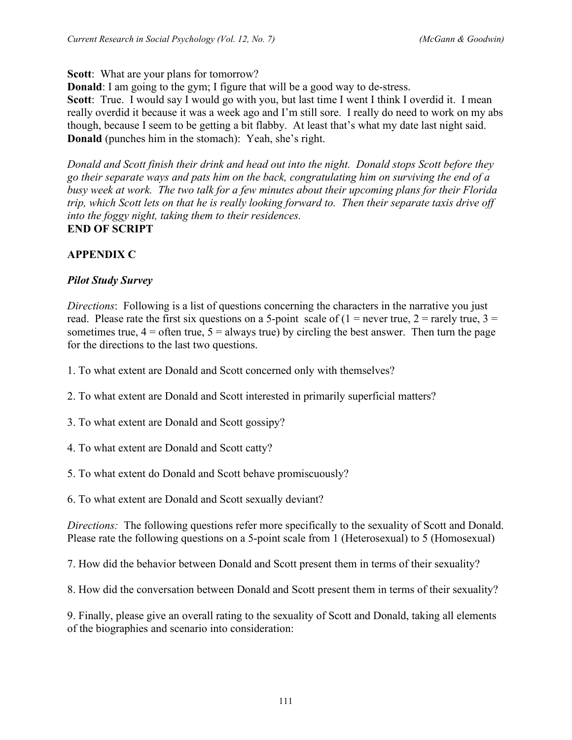## **Scott**: What are your plans for tomorrow?

**Donald**: I am going to the gym; I figure that will be a good way to de-stress.

Scott: True. I would say I would go with you, but last time I went I think I overdid it. I mean really overdid it because it was a week ago and I'm still sore. I really do need to work on my abs though, because I seem to be getting a bit flabby. At least that's what my date last night said. **Donald** (punches him in the stomach): Yeah, she's right.

*Donald and Scott finish their drink and head out into the night. Donald stops Scott before they go their separate ways and pats him on the back, congratulating him on surviving the end of a busy week at work. The two talk for a few minutes about their upcoming plans for their Florida trip, which Scott lets on that he is really looking forward to. Then their separate taxis drive off into the foggy night, taking them to their residences.*  **END OF SCRIPT**

# **APPENDIX C**

# *Pilot Study Survey*

*Directions*: Following is a list of questions concerning the characters in the narrative you just read. Please rate the first six questions on a 5-point scale of  $(1 =$  never true,  $2 =$  rarely true,  $3 =$ sometimes true,  $4 =$  often true,  $5 =$  always true) by circling the best answer. Then turn the page for the directions to the last two questions.

1. To what extent are Donald and Scott concerned only with themselves?

2. To what extent are Donald and Scott interested in primarily superficial matters?

3. To what extent are Donald and Scott gossipy?

4. To what extent are Donald and Scott catty?

5. To what extent do Donald and Scott behave promiscuously?

6. To what extent are Donald and Scott sexually deviant?

*Directions:* The following questions refer more specifically to the sexuality of Scott and Donald. Please rate the following questions on a 5-point scale from 1 (Heterosexual) to 5 (Homosexual)

7. How did the behavior between Donald and Scott present them in terms of their sexuality?

8. How did the conversation between Donald and Scott present them in terms of their sexuality?

9. Finally, please give an overall rating to the sexuality of Scott and Donald, taking all elements of the biographies and scenario into consideration: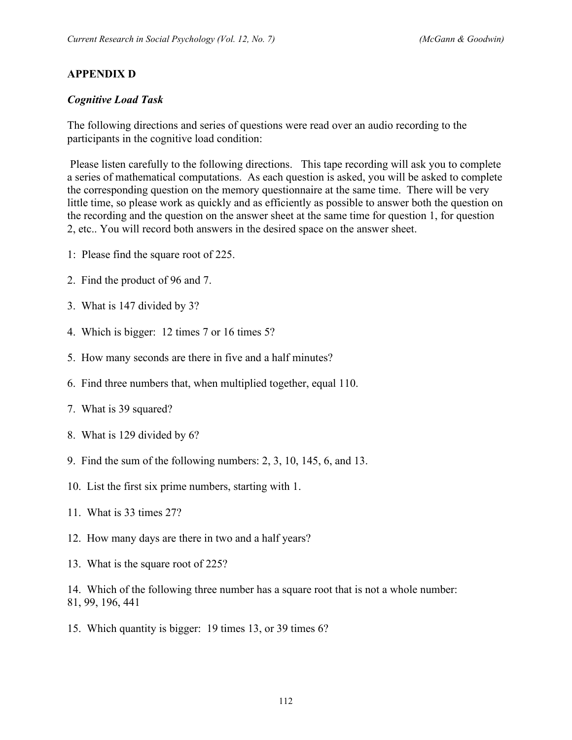### **APPENDIX D**

#### *Cognitive Load Task*

The following directions and series of questions were read over an audio recording to the participants in the cognitive load condition:

Please listen carefully to the following directions. This tape recording will ask you to complete a series of mathematical computations. As each question is asked, you will be asked to complete the corresponding question on the memory questionnaire at the same time. There will be very little time, so please work as quickly and as efficiently as possible to answer both the question on the recording and the question on the answer sheet at the same time for question 1, for question 2, etc.. You will record both answers in the desired space on the answer sheet.

- 1: Please find the square root of 225.
- 2. Find the product of 96 and 7.
- 3. What is 147 divided by 3?
- 4. Which is bigger: 12 times 7 or 16 times 5?
- 5. How many seconds are there in five and a half minutes?
- 6. Find three numbers that, when multiplied together, equal 110.
- 7. What is 39 squared?
- 8. What is 129 divided by 6?
- 9. Find the sum of the following numbers: 2, 3, 10, 145, 6, and 13.
- 10. List the first six prime numbers, starting with 1.
- 11. What is 33 times 27?
- 12. How many days are there in two and a half years?
- 13. What is the square root of 225?

14. Which of the following three number has a square root that is not a whole number: 81, 99, 196, 441

15. Which quantity is bigger: 19 times 13, or 39 times 6?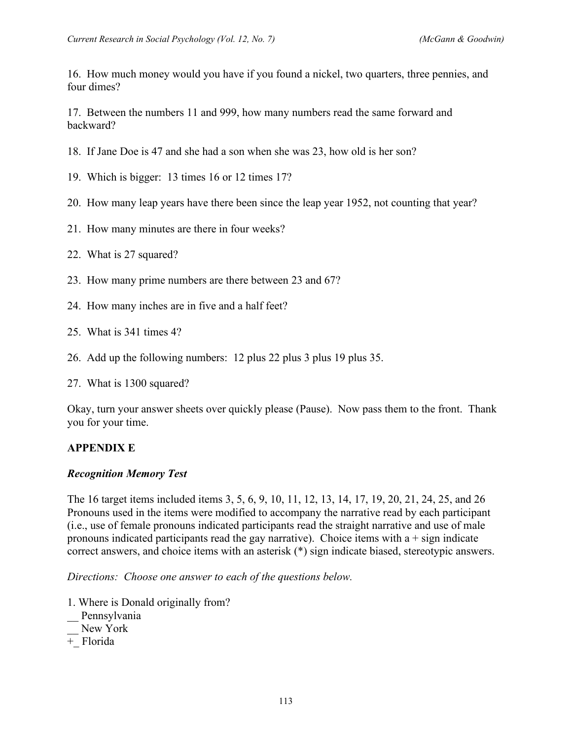16. How much money would you have if you found a nickel, two quarters, three pennies, and four dimes?

17. Between the numbers 11 and 999, how many numbers read the same forward and backward?

18. If Jane Doe is 47 and she had a son when she was 23, how old is her son?

19. Which is bigger: 13 times 16 or 12 times 17?

- 20. How many leap years have there been since the leap year 1952, not counting that year?
- 21. How many minutes are there in four weeks?
- 22. What is 27 squared?
- 23. How many prime numbers are there between 23 and 67?
- 24. How many inches are in five and a half feet?
- 25. What is 341 times 4?
- 26. Add up the following numbers: 12 plus 22 plus 3 plus 19 plus 35.

27. What is 1300 squared?

Okay, turn your answer sheets over quickly please (Pause). Now pass them to the front. Thank you for your time.

### **APPENDIX E**

#### *Recognition Memory Test*

The 16 target items included items 3, 5, 6, 9, 10, 11, 12, 13, 14, 17, 19, 20, 21, 24, 25, and 26 Pronouns used in the items were modified to accompany the narrative read by each participant (i.e., use of female pronouns indicated participants read the straight narrative and use of male pronouns indicated participants read the gay narrative). Choice items with  $a + sign$  indicate correct answers, and choice items with an asterisk (\*) sign indicate biased, stereotypic answers.

*Directions: Choose one answer to each of the questions below.* 

- 1. Where is Donald originally from?
- \_\_ Pennsylvania
- New York
- +\_ Florida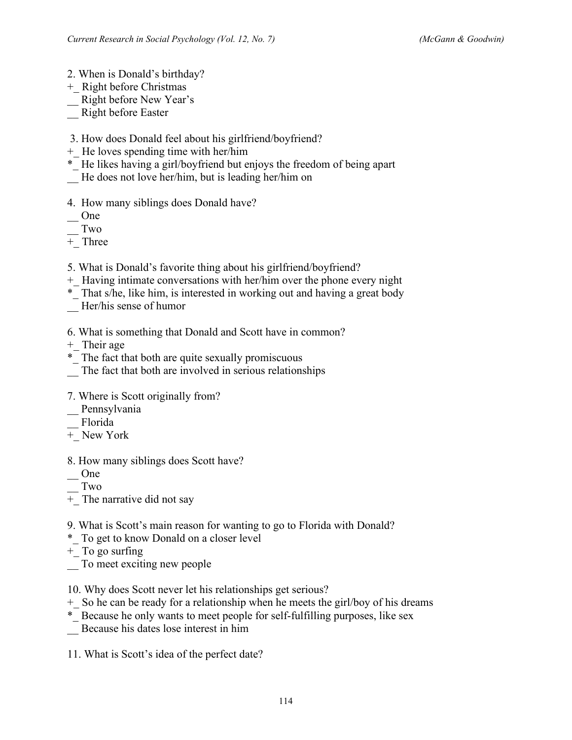- 2. When is Donald's birthday?
- +\_ Right before Christmas
- \_\_ Right before New Year's
- \_\_ Right before Easter
- 3. How does Donald feel about his girlfriend/boyfriend?
- +\_ He loves spending time with her/him
- \*\_ He likes having a girl/boyfriend but enjoys the freedom of being apart
- \_\_ He does not love her/him, but is leading her/him on
- 4.How many siblings does Donald have?
- \_\_ One
- \_\_ Two
- +\_ Three
- 5. What is Donald's favorite thing about his girlfriend/boyfriend?
- +\_ Having intimate conversations with her/him over the phone every night
- \*\_ That s/he, like him, is interested in working out and having a great body
- Her/his sense of humor
- 6. What is something that Donald and Scott have in common?
- +\_ Their age
- \*\_ The fact that both are quite sexually promiscuous
- The fact that both are involved in serious relationships
- 7. Where is Scott originally from?
- \_\_ Pennsylvania
- \_\_ Florida
- +\_ New York
- 8. How many siblings does Scott have?
- \_\_ One
- \_\_ Two
- + The narrative did not say
- 9. What is Scott's main reason for wanting to go to Florida with Donald?
- \*\_ To get to know Donald on a closer level
- +\_ To go surfing
- \_\_ To meet exciting new people
- 10. Why does Scott never let his relationships get serious?
- +\_ So he can be ready for a relationship when he meets the girl/boy of his dreams
- \*\_ Because he only wants to meet people for self-fulfilling purposes, like sex
- \_\_ Because his dates lose interest in him
- 11. What is Scott's idea of the perfect date?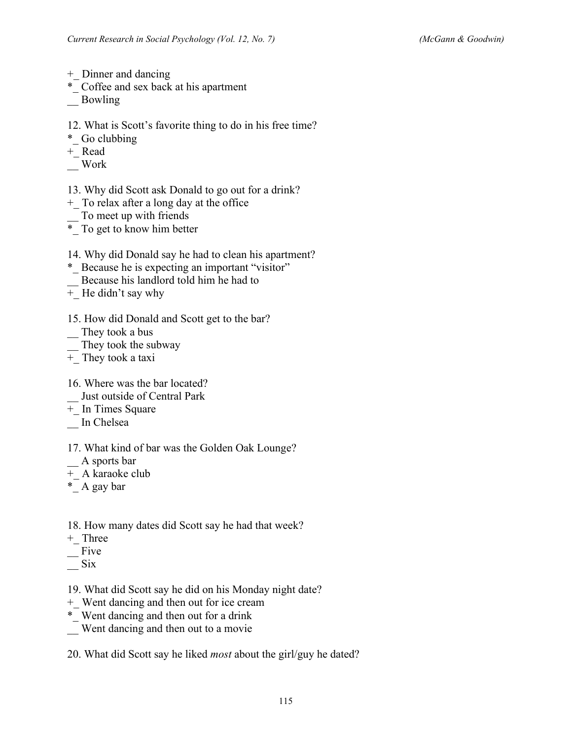- +\_ Dinner and dancing
- \*\_ Coffee and sex back at his apartment
- \_\_ Bowling
- 12. What is Scott's favorite thing to do in his free time?
- \*\_ Go clubbing
- +\_ Read
- \_\_ Work
- 13. Why did Scott ask Donald to go out for a drink?
- +\_ To relax after a long day at the office
- \_\_ To meet up with friends
- \*\_ To get to know him better
- 14. Why did Donald say he had to clean his apartment?
- \*\_ Because he is expecting an important "visitor"
- \_\_ Because his landlord told him he had to
- + He didn't say why
- 15. How did Donald and Scott get to the bar?
- \_\_ They took a bus
- They took the subway
- $+$  They took a taxi
- 16. Where was the bar located?
- \_\_ Just outside of Central Park
- $\overline{+}$  In Times Square
- In Chelsea
- 17. What kind of bar was the Golden Oak Lounge?
- \_\_ A sports bar
- +\_ A karaoke club
- \*\_ A gay bar
- 18. How many dates did Scott say he had that week?
- +\_ Three
- $\equiv$ Five
- $\equiv$  Six
- 19. What did Scott say he did on his Monday night date?
- +\_ Went dancing and then out for ice cream
- \*\_ Went dancing and then out for a drink
- \_\_ Went dancing and then out to a movie
- 20. What did Scott say he liked *most* about the girl/guy he dated?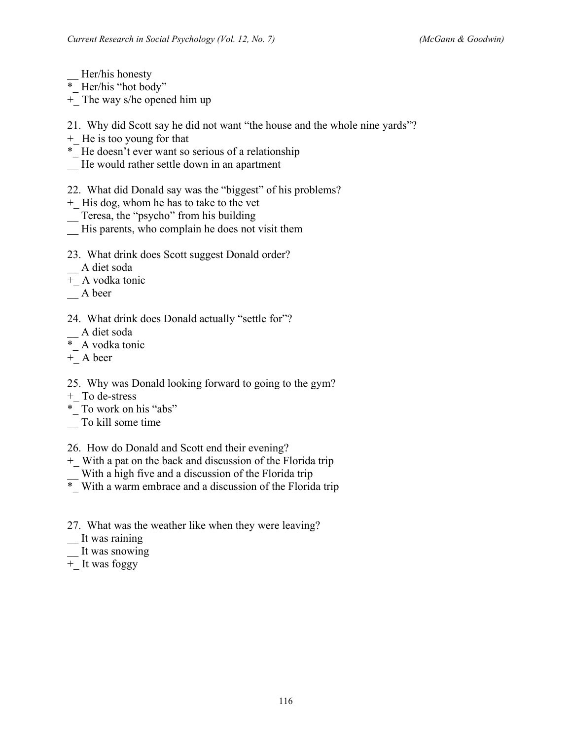Her/his honesty

- $*$  Her/his "hot body"
- +\_ The way s/he opened him up
- 21. Why did Scott say he did not want "the house and the whole nine yards"?
- +\_ He is too young for that
- \*\_ He doesn't ever want so serious of a relationship
- \_\_ He would rather settle down in an apartment
- 22. What did Donald say was the "biggest" of his problems?
- +\_ His dog, whom he has to take to the vet
- \_\_ Teresa, the "psycho" from his building
- \_\_ His parents, who complain he does not visit them
- 23. What drink does Scott suggest Donald order?
- \_\_ A diet soda
- +\_ A vodka tonic
- \_\_ A beer
- 24. What drink does Donald actually "settle for"?
- \_\_ A diet soda
- \*\_ A vodka tonic
- $+$ <sub>\_</sub> A beer
- 25. Why was Donald looking forward to going to the gym?
- +\_ To de-stress
- \*\_ To work on his "abs"
- \_\_ To kill some time
- 26. How do Donald and Scott end their evening?
- +\_ With a pat on the back and discussion of the Florida trip
- With a high five and a discussion of the Florida trip
- \*\_ With a warm embrace and a discussion of the Florida trip
- 27. What was the weather like when they were leaving?
- It was raining
- It was snowing
- +\_ It was foggy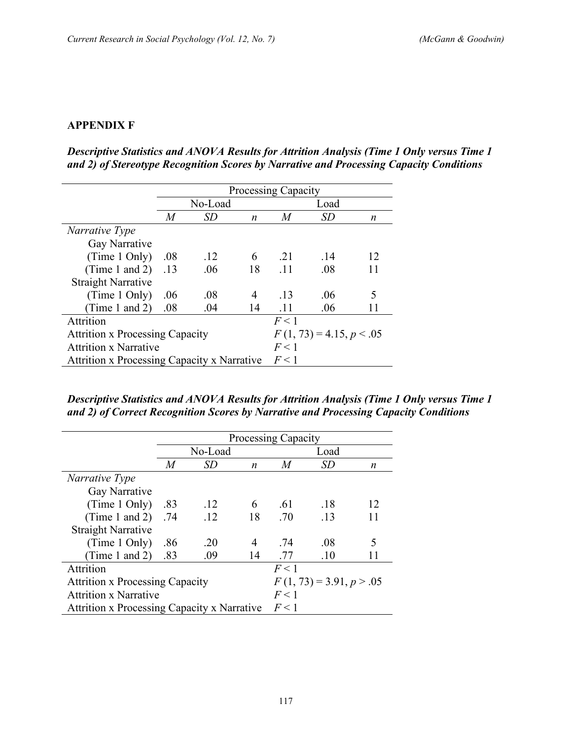## **APPENDIX F**

*Descriptive Statistics and ANOVA Results for Attrition Analysis (Time 1 Only versus Time 1 and 2) of Stereotype Recognition Scores by Narrative and Processing Capacity Conditions*

|                                                    | <b>Processing Capacity</b>             |           |    |     |                            |    |  |
|----------------------------------------------------|----------------------------------------|-----------|----|-----|----------------------------|----|--|
|                                                    |                                        | No-Load   |    |     | Load                       |    |  |
|                                                    | $\overline{M}$                         | <i>SD</i> | n  | M   | SD                         | n  |  |
| <i>Narrative Type</i>                              |                                        |           |    |     |                            |    |  |
| Gay Narrative                                      |                                        |           |    |     |                            |    |  |
| (Time 1 Only)                                      | .08                                    | .12       | 6  | .21 | .14                        | 12 |  |
| (Time 1 and 2)                                     | .13                                    | .06       | 18 | .11 | .08                        | 11 |  |
| <b>Straight Narrative</b>                          |                                        |           |    |     |                            |    |  |
| (Time 1 Only)                                      | .06                                    | .08       | 4  | -13 | .06                        | 5  |  |
| (Time 1 and 2)                                     | .08                                    | .04       | 14 | .11 | .06                        |    |  |
| Attrition                                          |                                        |           |    | F<1 |                            |    |  |
|                                                    | <b>Attrition x Processing Capacity</b> |           |    |     | $F(1, 73) = 4.15, p < .05$ |    |  |
| <b>Attrition x Narrative</b>                       |                                        |           |    | F<1 |                            |    |  |
| <b>Attrition x Processing Capacity x Narrative</b> |                                        |           |    | F<1 |                            |    |  |

*Descriptive Statistics and ANOVA Results for Attrition Analysis (Time 1 Only versus Time 1 and 2) of Correct Recognition Scores by Narrative and Processing Capacity Conditions*

|                                             | <b>Processing Capacity</b> |         |    |     |                            |    |
|---------------------------------------------|----------------------------|---------|----|-----|----------------------------|----|
|                                             |                            | No-Load |    |     | Load                       |    |
|                                             | M                          | SD      | n  | M   | <i>SD</i>                  | n  |
| Narrative Type                              |                            |         |    |     |                            |    |
| Gay Narrative                               |                            |         |    |     |                            |    |
| (Time 1 Only)                               | .83                        | .12     | 6  | .61 | .18                        | 12 |
| (Time 1 and 2)                              | .74                        | .12     | 18 | .70 | .13                        | 11 |
| <b>Straight Narrative</b>                   |                            |         |    |     |                            |    |
| (Time 1 Only)                               | .86                        | .20     | 4  | .74 | .08                        | 5  |
| (Time 1 and 2)                              | .83                        | .09     | 14 | .77 | .10                        |    |
| Attrition                                   |                            |         |    | F<1 |                            |    |
| <b>Attrition x Processing Capacity</b>      |                            |         |    |     | $F(1, 73) = 3.91, p > .05$ |    |
| <b>Attrition x Narrative</b>                |                            |         |    | F<1 |                            |    |
| Attrition x Processing Capacity x Narrative |                            |         |    | F<1 |                            |    |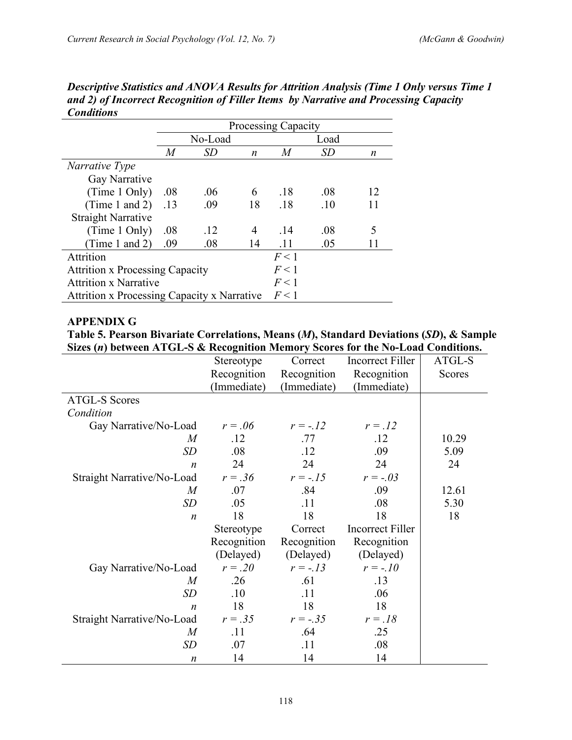|                                             | <b>Processing Capacity</b> |         |    |      |           |    |  |
|---------------------------------------------|----------------------------|---------|----|------|-----------|----|--|
|                                             |                            | No-Load |    | Load |           |    |  |
|                                             | M                          | SD      | n  | M    | <i>SD</i> | n  |  |
| Narrative Type                              |                            |         |    |      |           |    |  |
| Gay Narrative                               |                            |         |    |      |           |    |  |
| (Time 1 Only)                               | .08                        | .06     | 6  | .18  | .08       | 12 |  |
| (Time 1 and 2)                              | .13                        | .09     | 18 | .18  | .10       | 11 |  |
| <b>Straight Narrative</b>                   |                            |         |    |      |           |    |  |
| (Time 1 Only)                               | .08                        | .12     | 4  | -14  | .08       | 5  |  |
| Time 1 and 2)                               | .09                        | .08     | 14 | .11  | .05       |    |  |
| Attrition                                   |                            |         |    | F<1  |           |    |  |
| <b>Attrition x Processing Capacity</b>      |                            |         |    |      |           |    |  |
| <b>Attrition x Narrative</b>                |                            |         |    | F<1  |           |    |  |
| Attrition x Processing Capacity x Narrative |                            |         |    | F<1  |           |    |  |

*Descriptive Statistics and ANOVA Results for Attrition Analysis (Time 1 Only versus Time 1 and 2) of Incorrect Recognition of Filler Items by Narrative and Processing Capacity Conditions*

#### **APPENDIX G**

**Table 5. Pearson Bivariate Correlations, Means (***M***), Standard Deviations (***SD***), & Sample Sizes (***n***) between ATGL-S & Recognition Memory Scores for the No-Load Conditions.**

|                                   | Stereotype  | Correct     | Incorrect Filler        | ATGL-S |
|-----------------------------------|-------------|-------------|-------------------------|--------|
|                                   | Recognition | Recognition | Recognition             | Scores |
|                                   | (Immediate) | (Immediate) | (Immediate)             |        |
| <b>ATGL-S Scores</b>              |             |             |                         |        |
| Condition                         |             |             |                         |        |
| Gay Narrative/No-Load             | $r=.06$     | $r = -12$   | $r=.12$                 |        |
| $\boldsymbol{M}$                  | .12         | .77         | .12                     | 10.29  |
| SD                                | .08         | .12         | .09                     | 5.09   |
| $\boldsymbol{n}$                  | 24          | 24          | 24                      | 24     |
| Straight Narrative/No-Load        | $r = .36$   | $r = -15$   | $r = -.03$              |        |
| $\boldsymbol{M}$                  | .07         | .84         | .09                     | 12.61  |
| SD                                | .05         | .11         | .08                     | 5.30   |
| $\boldsymbol{n}$                  | 18          | 18          | 18                      | 18     |
|                                   | Stereotype  | Correct     | <b>Incorrect Filler</b> |        |
|                                   | Recognition | Recognition | Recognition             |        |
|                                   | (Delayed)   | (Delayed)   | (Delayed)               |        |
| Gay Narrative/No-Load             | $r=.20$     | $r = -13$   | $r = -10$               |        |
| $\boldsymbol{M}$                  | .26         | .61         | .13                     |        |
| <b>SD</b>                         | .10         | .11         | .06                     |        |
| $\boldsymbol{n}$                  | 18          | 18          | 18                      |        |
| <b>Straight Narrative/No-Load</b> | $r = .35$   | $r = -.35$  | $r=.18$                 |        |
| $\boldsymbol{M}$                  | .11         | .64         | .25                     |        |
| SD                                | .07         | .11         | .08                     |        |
| $\boldsymbol{n}$                  | 14          | 14          | 14                      |        |